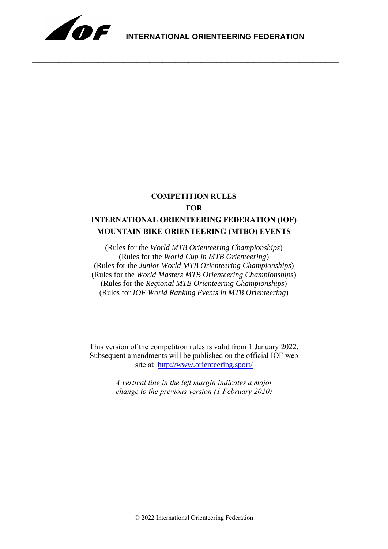

\_\_\_\_\_\_\_\_\_\_\_\_\_\_\_\_\_\_\_\_\_\_\_\_\_\_\_\_\_\_\_\_\_\_\_\_\_\_\_\_\_\_\_\_\_\_\_

# **COMPETITION RULES FOR INTERNATIONAL ORIENTEERING FEDERATION (IOF) MOUNTAIN BIKE ORIENTEERING (MTBO) EVENTS**

(Rules for the *World MTB Orienteering Championships*) (Rules for the *World Cup in MTB Orienteering*) (Rules for the *Junior World MTB Orienteering Championships*) (Rules for the *World Masters MTB Orienteering Championships*) (Rules for the *Regional MTB Orienteering Championships*) (Rules for *IOF World Ranking Events in MTB Orienteering*)

This version of the competition rules is valid from 1 January 2022. Subsequent amendments will be published on the official IOF web site at <http://www.orienteering.sport/>

> *A vertical line in the left margin indicates a major change to the previous version (1 February 2020)*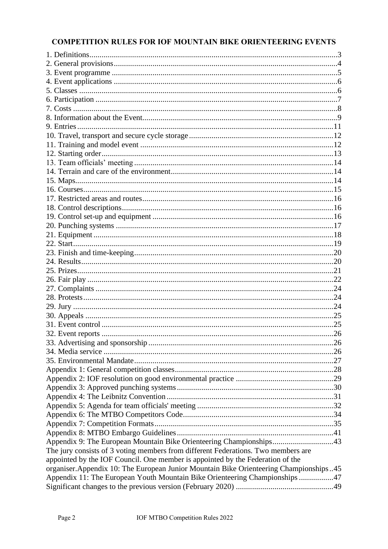# **COMPETITION RULES FOR IOF MOUNTAIN BIKE ORIENTEERING EVENTS**

| Appendix 9: The European Mountain Bike Orienteering Championships43                    |  |
|----------------------------------------------------------------------------------------|--|
| The jury consists of 3 voting members from different Federations. Two members are      |  |
| appointed by the IOF Council. One member is appointed by the Federation of the         |  |
| organiser. Appendix 10: The European Junior Mountain Bike Orienteering Championships45 |  |
| Appendix 11: The European Youth Mountain Bike Orienteering Championships 47            |  |
|                                                                                        |  |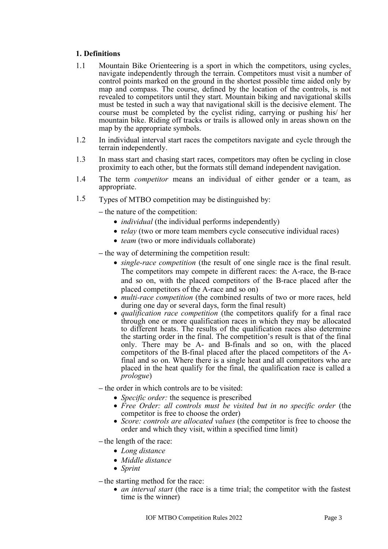## <span id="page-2-0"></span>**1. Definitions**

- 1.1 Mountain Bike Orienteering is a sport in which the competitors, using cycles, navigate independently through the terrain. Competitors must visit a number of control points marked on the ground in the shortest possible time aided only by map and compass. The course, defined by the location of the controls, is not revealed to competitors until they start. Mountain biking and navigational skills must be tested in such a way that navigational skill is the decisive element. The course must be completed by the cyclist riding, carrying or pushing his/ her mountain bike. Riding off tracks or trails is allowed only in areas shown on the map by the appropriate symbols.
- 1.2 In individual interval start races the competitors navigate and cycle through the terrain independently.
- 1.3 In mass start and chasing start races, competitors may often be cycling in close proximity to each other, but the formats still demand independent navigation.
- 1.4 The term *competitor* means an individual of either gender or a team, as appropriate.
- 1.5 Types of MTBO competition may be distinguished by:
	- the nature of the competition:
		- *individual* (the individual performs independently)
		- *relay* (two or more team members cycle consecutive individual races)
		- *team* (two or more individuals collaborate)
	- the way of determining the competition result:
		- *single-race competition* (the result of one single race is the final result. The competitors may compete in different races: the A-race, the B-race and so on, with the placed competitors of the B-race placed after the placed competitors of the A-race and so on)
		- *multi-race competition* (the combined results of two or more races, held during one day or several days, form the final result)
		- *qualification race competition* (the competitors qualify for a final race through one or more qualification races in which they may be allocated to different heats. The results of the qualification races also determine the starting order in the final. The competition's result is that of the final only. There may be A- and B-finals and so on, with the placed competitors of the B-final placed after the placed competitors of the Afinal and so on. Where there is a single heat and all competitors who are placed in the heat qualify for the final, the qualification race is called a *prologue*)
	- the order in which controls are to be visited:
		- *Specific order:* the sequence is prescribed
		- Free Order: all controls must be visited but in no specific order (the competitor is free to choose the order)
		- *Score: controls are allocated values* (the competitor is free to choose the order and which they visit, within a specified time limit)
	- the length of the race:
		- *Long distance*
		- *Middle distance*
		- *Sprint*

– the starting method for the race:

• *an interval start* (the race is a time trial; the competitor with the fastest time is the winner)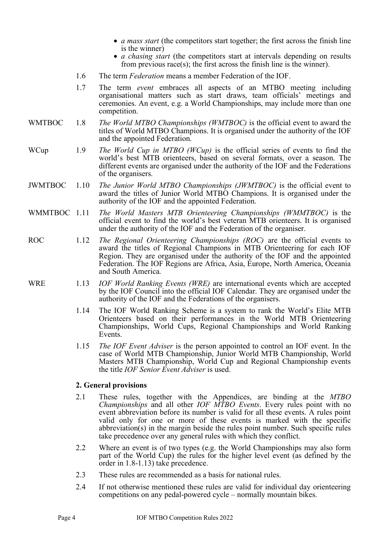- *a mass start* (the competitors start together; the first across the finish line is the winner)
- *a chasing start* (the competitors start at intervals depending on results from previous race(s); the first across the finish line is the winner).
- 1.6 The term *Federation* means a member Federation of the IOF.
- 1.7 The term *event* embraces all aspects of an MTBO meeting including organisational matters such as start draws, team officials' meetings and ceremonies. An event, e.g. a World Championships, may include more than one competition.
- WMTBOC 1.8 *The World MTBO Championships (WMTBOC)* is the official event to award the titles of World MTBO Champions. It is organised under the authority of the IOF and the appointed Federation.
- WCup 1.9 *The World Cup in MTBO (WCup)* is the official series of events to find the world's best MTB orienteers, based on several formats, over a season. The different events are organised under the authority of the IOF and the Federations of the organisers.
- JWMTBOC 1.10 *The Junior World MTBO Championships (JWMTBOC)* is the official event to award the titles of Junior World MTBO Champions. It is organised under the authority of the IOF and the appointed Federation.
- WMMTBOC 1.11 *The World Masters MTB Orienteering Championships (WMMTBOC)* is the official event to find the world's best veteran MTB orienteers. It is organised under the authority of the IOF and the Federation of the organiser.
- ROC 1.12 *The Regional Orienteering Championships (ROC)* are the official events to award the titles of Regional Champions in MTB Orienteering for each IOF Region. They are organised under the authority of the IOF and the appointed Federation. The IOF Regions are Africa, Asia, Europe, North America, Oceania and South America.
- WRE 1.13 *IOF World Ranking Events (WRE)* are international events which are accepted by the IOF Council into the official IOF Calendar. They are organised under the authority of the IOF and the Federations of the organisers.
	- 1.14 The IOF World Ranking Scheme is a system to rank the World's Elite MTB Orienteers based on their performances in the World MTB Orienteering Championships, World Cups, Regional Championships and World Ranking Events.
	- 1.15 *The IOF Event Adviser* is the person appointed to control an IOF event. In the case of World MTB Championship, Junior World MTB Championship, World Masters MTB Championship, World Cup and Regional Championship events the title *IOF Senior Event Adviser* is used.

#### <span id="page-3-0"></span>**2. General provisions**

- 2.1 These rules, together with the Appendices, are binding at the *MTBO Championships* and all other *IOF MTBO Events*. Every rules point with no event abbreviation before its number is valid for all these events. A rules point valid only for one or more of these events is marked with the specific abbreviation(s) in the margin beside the rules point number. Such specific rules take precedence over any general rules with which they conflict.
- 2.2 Where an event is of two types (e.g. the World Championships may also form part of the World Cup) the rules for the higher level event (as defined by the order in 1.8-1.13) take precedence.
- 2.3 These rules are recommended as a basis for national rules.
- 2.4 If not otherwise mentioned these rules are valid for individual day orienteering competitions on any pedal-powered cycle – normally mountain bikes.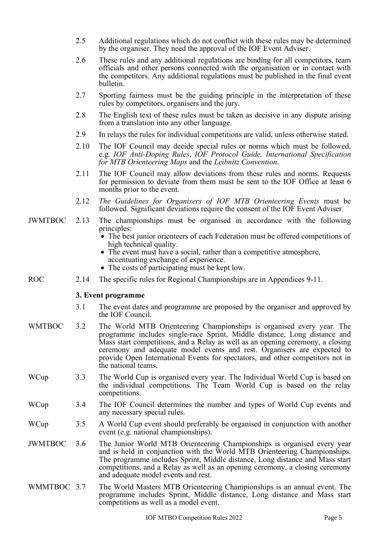|                | 2.5  | Additional regulations which do not conflict with these rules may be determined<br>by the organiser. They need the approval of the IOF Event Adviser.                                                                                                                                                                                                                                                                    |
|----------------|------|--------------------------------------------------------------------------------------------------------------------------------------------------------------------------------------------------------------------------------------------------------------------------------------------------------------------------------------------------------------------------------------------------------------------------|
|                | 2.6  | These rules and any additional regulations are binding for all competitors, team<br>officials and other persons connected with the organisation or in contact with<br>the competitors. Any additional regulations must be published in the final event<br>bulletin.                                                                                                                                                      |
|                | 2.7  | Sporting fairness must be the guiding principle in the interpretation of these<br>rules by competitors, organisers and the jury.                                                                                                                                                                                                                                                                                         |
|                | 2.8  | The English text of these rules must be taken as decisive in any dispute arising<br>from a translation into any other language.                                                                                                                                                                                                                                                                                          |
|                | 2.9  | In relays the rules for individual competitions are valid, unless otherwise stated.                                                                                                                                                                                                                                                                                                                                      |
|                | 2.10 | The IOF Council may decide special rules or norms which must be followed,<br>e.g. IOF Anti-Doping Rules, IOF Protocol Guide, International Specification<br>for MTB Orienteering Maps and the Leibnitz Convention.                                                                                                                                                                                                       |
|                | 2.11 | The IOF Council may allow deviations from these rules and norms. Requests<br>for permission to deviate from them must be sent to the IOF Office at least 6<br>months prior to the event.                                                                                                                                                                                                                                 |
|                | 2.12 | The Guidelines for Organisers of IOF MTB Orienteering Events must be<br>followed. Significant deviations require the consent of the IOF Event Adviser.                                                                                                                                                                                                                                                                   |
| <b>JWMTBOC</b> | 2.13 | The championships must be organised in accordance with the following<br>principles:<br>• The best junior orienteers of each Federation must be offered competitions of                                                                                                                                                                                                                                                   |
|                |      | high technical quality.<br>• The event must have a social, rather than a competitive atmosphere,<br>accentuating exchange of experience.<br>• The costs of participating must be kept low.                                                                                                                                                                                                                               |
| ROC            | 2.14 | The specific rules for Regional Championships are in Appendices 9-11.                                                                                                                                                                                                                                                                                                                                                    |
|                |      | 3. Event programme                                                                                                                                                                                                                                                                                                                                                                                                       |
|                | 3.1  | The event dates and programme are proposed by the organiser and approved by<br>the IOF Council.                                                                                                                                                                                                                                                                                                                          |
| <b>WMTBOC</b>  | 3.2  | The World MTB Orienteering Championships is organised every year. The<br>programme includes single-race Sprint, Middle distance, Long distance and<br>Mass start competitions, and a Relay as well as an opening ceremony, a closing<br>ceremony and adequate model events and rest. Organisers are expected to<br>provide Open International Events for spectators, and other competitors not in<br>the national teams. |
| WCup           | 3.3  | The World Cup is organised every year. The Individual World Cup is based on<br>the individual competitions. The Team World Cup is based on the relay<br>competitions.                                                                                                                                                                                                                                                    |
| WCup           | 3.4  | The IOF Council determines the number and types of World Cup events and<br>any necessary special rules.                                                                                                                                                                                                                                                                                                                  |
| WCup           | 3.5  | A World Cup event should preferably be organised in conjunction with another<br>event (e.g. national championships).                                                                                                                                                                                                                                                                                                     |
| JWMTBOC        | 3.6  | The Junior World MTB Orienteering Championships is organised every year<br>and is held in conjunction with the World MTB Orienteering Championships.<br>The programme includes Sprint, Middle distance, Long distance and Mass start<br>competitions, and a Relay as well as an opening ceremony, a closing ceremony<br>and adequate model events and rest.                                                              |
| WMMTBOC 3.7    |      | The World Masters MTB Orienteering Championships is an annual event. The<br>programme includes Sprint, Middle distance, Long distance and Mass start                                                                                                                                                                                                                                                                     |

<span id="page-4-0"></span>competitions as well as a model event.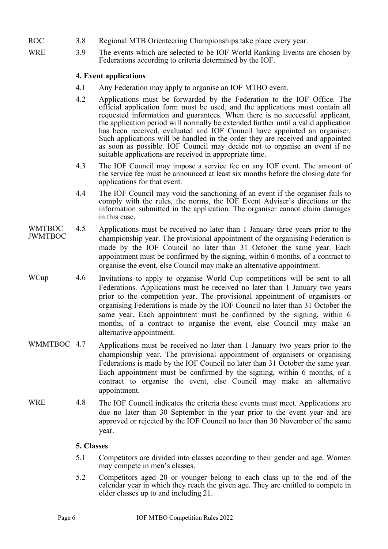- ROC 3.8 Regional MTB Orienteering Championships take place every year.
- WRE 3.9 The events which are selected to be IOF World Ranking Events are chosen by Federations according to criteria determined by the IOF.

#### <span id="page-5-0"></span>**4. Event applications**

- 4.1 Any Federation may apply to organise an IOF MTBO event.
- 4.2 Applications must be forwarded by the Federation to the IOF Office. The official application form must be used, and the applications must contain all requested information and guarantees. When there is no successful applicant, the application period will normally be extended further until a valid application has been received, evaluated and IOF Council have appointed an organiser. Such applications will be handled in the order they are received and appointed as soon as possible. IOF Council may decide not to organise an event if no suitable applications are received in appropriate time.
- 4.3 The IOF Council may impose a service fee on any IOF event. The amount of the service fee must be announced at least six months before the closing date for applications for that event.
- 4.4 The IOF Council may void the sanctioning of an event if the organiser fails to comply with the rules, the norms, the IOF Event Adviser's directions or the information submitted in the application. The organiser cannot claim damages in this case.
- WMTBOC JWMTBOC 4.5 Applications must be received no later than 1 January three years prior to the championship year. The provisional appointment of the organising Federation is made by the IOF Council no later than 31 October the same year. Each appointment must be confirmed by the signing, within 6 months, of a contract to organise the event, else Council may make an alternative appointment.
- WCup 4.6 Invitations to apply to organise World Cup competitions will be sent to all Federations. Applications must be received no later than 1 January two years prior to the competition year. The provisional appointment of organisers or organising Federations is made by the IOF Council no later than 31 October the same year. Each appointment must be confirmed by the signing, within 6 months, of a contract to organise the event, else Council may make an alternative appointment.
- WMMTBOC 4.7 Applications must be received no later than 1 January two years prior to the championship year. The provisional appointment of organisers or organising Federations is made by the IOF Council no later than 31 October the same year. Each appointment must be confirmed by the signing, within 6 months, of a contract to organise the event, else Council may make an alternative appointment.
- WRE 4.8 The IOF Council indicates the criteria these events must meet. Applications are due no later than 30 September in the year prior to the event year and are approved or rejected by the IOF Council no later than 30 November of the same year.

#### <span id="page-5-1"></span>**5. Classes**

- 5.1 Competitors are divided into classes according to their gender and age. Women may compete in men's classes.
- 5.2 Competitors aged 20 or younger belong to each class up to the end of the calendar year in which they reach the given age. They are entitled to compete in older classes up to and including 21.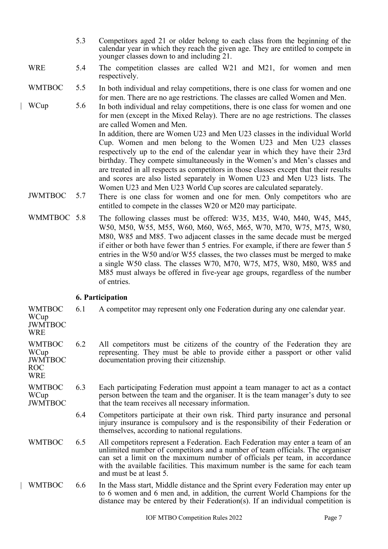- 5.3 Competitors aged 21 or older belong to each class from the beginning of the calendar year in which they reach the given age. They are entitled to compete in younger classes down to and including 21.
- WRE 5.4 The competition classes are called W21 and M21, for women and men respectively.

## WMTBOC 5.5 In both individual and relay competitions, there is one class for women and one for men. There are no age restrictions. The classes are called Women and Men.

WCup 5.6 In both individual and relay competitions, there is one class for women and one for men (except in the Mixed Relay). There are no age restrictions. The classes are called Women and Men.

In addition, there are Women U23 and Men U23 classes in the individual World Cup. Women and men belong to the Women U23 and Men U23 classes respectively up to the end of the calendar year in which they have their 23rd birthday. They compete simultaneously in the Women's and Men's classes and are treated in all respects as competitors in those classes except that their results and scores are also listed separately in Women U23 and Men U23 lists. The Women U23 and Men U23 World Cup scores are calculated separately.

- JWMTBOC 5.7 There is one class for women and one for men. Only competitors who are entitled to compete in the classes W20 or M20 may participate.
- WMMTBOC 5.8 The following classes must be offered: W35, M35, W40, M40, W45, M45, W50, M50, W55, M55, W60, M60, W65, M65, W70, M70, W75, M75, W80, M80, W85 and M85. Two adjacent classes in the same decade must be merged if either or both have fewer than 5 entries. For example, if there are fewer than 5 entries in the W50 and/or W55 classes, the two classes must be merged to make a single W50 class. The classes W70, M70, W75, M75, W80, M80, W85 and M85 must always be offered in five-year age groups, regardless of the number of entries.

## <span id="page-6-0"></span>**6. Participation**

WMTBOC 6.1 A competitor may represent only one Federation during any one calendar year.

- WCup JWMTBOC **WRE**
- WMTBOC WCup JWMTBOC 6.2 All competitors must be citizens of the country of the Federation they are representing. They must be able to provide either a passport or other valid documentation proving their citizenship.
- ROC **WRE**
- WMTBOC WCup JWMTBOC 6.3 Each participating Federation must appoint a team manager to act as a contact person between the team and the organiser. It is the team manager's duty to see that the team receives all necessary information.
	- 6.4 Competitors participate at their own risk. Third party insurance and personal injury insurance is compulsory and is the responsibility of their Federation or themselves, according to national regulations.
- WMTBOC 6.5 All competitors represent a Federation. Each Federation may enter a team of an unlimited number of competitors and a number of team officials. The organiser can set a limit on the maximum number of officials per team, in accordance with the available facilities. This maximum number is the same for each team and must be at least 5.
- WMTBOC 6.6 In the Mass start, Middle distance and the Sprint every Federation may enter up to 6 women and 6 men and, in addition, the current World Champions for the distance may be entered by their Federation(s). If an individual competition is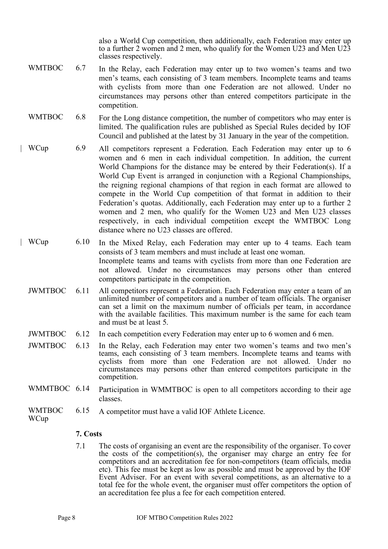also a World Cup competition, then additionally, each Federation may enter up to a further 2 women and 2 men, who qualify for the Women U23 and Men U23 classes respectively.

- WMTBOC 6.7 In the Relay, each Federation may enter up to two women's teams and two men's teams, each consisting of 3 team members. Incomplete teams and teams with cyclists from more than one Federation are not allowed. Under no circumstances may persons other than entered competitors participate in the competition.
- WMTBOC 6.8 For the Long distance competition, the number of competitors who may enter is limited. The qualification rules are published as Special Rules decided by IOF Council and published at the latest by 31 January in the year of the competition.
- | WCup 6.9 All competitors represent a Federation. Each Federation may enter up to 6 women and 6 men in each individual competition. In addition, the current World Champions for the distance may be entered by their Federation(s). If a World Cup Event is arranged in conjunction with a Regional Championships, the reigning regional champions of that region in each format are allowed to compete in the World Cup competition of that format in addition to their Federation's quotas. Additionally, each Federation may enter up to a further 2 women and 2 men, who qualify for the Women U23 and Men U23 classes respectively, in each individual competition except the WMTBOC Long distance where no U23 classes are offered.
- | WCup 6.10 In the Mixed Relay, each Federation may enter up to 4 teams. Each team consists of 3 team members and must include at least one woman. Incomplete teams and teams with cyclists from more than one Federation are not allowed. Under no circumstances may persons other than entered competitors participate in the competition.
- JWMTBOC 6.11 All competitors represent a Federation. Each Federation may enter a team of an unlimited number of competitors and a number of team officials. The organiser can set a limit on the maximum number of officials per team, in accordance with the available facilities. This maximum number is the same for each team and must be at least 5.
- JWMTBOC 6.12 In each competition every Federation may enter up to 6 women and 6 men.
- JWMTBOC 6.13 In the Relay, each Federation may enter two women's teams and two men's teams, each consisting of 3 team members. Incomplete teams and teams with cyclists from more than one Federation are not allowed. Under no circumstances may persons other than entered competitors participate in the competition.
- WMMTBOC 6.14 Participation in WMMTBOC is open to all competitors according to their age classes.
- WMTBOC 6.15 A competitor must have a valid IOF Athlete Licence.

#### **WCup**

# <span id="page-7-0"></span>**7. Costs**

7.1 The costs of organising an event are the responsibility of the organiser. To cover the costs of the competition(s), the organiser may charge an entry fee for competitors and an accreditation fee for non-competitors (team officials, media etc). This fee must be kept as low as possible and must be approved by the IOF Event Adviser. For an event with several competitions, as an alternative to a total fee for the whole event, the organiser must offer competitors the option of an accreditation fee plus a fee for each competition entered.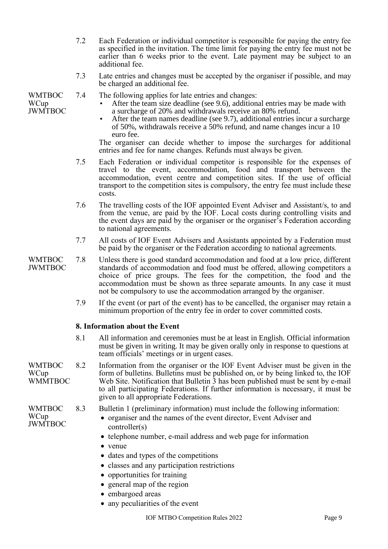- 7.2 Each Federation or individual competitor is responsible for paying the entry fee as specified in the invitation. The time limit for paying the entry fee must not be earlier than 6 weeks prior to the event. Late payment may be subject to an additional fee.
- 7.3 Late entries and changes must be accepted by the organiser if possible, and may be charged an additional fee.

WMTBOC WCup JWMTBOC

- 7.4 The following applies for late entries and changes:
	- After the team size deadline (see 9.6), additional entries may be made with a surcharge of 20% and withdrawals receive an 80% refund.
	- After the team names deadline (see 9.7), additional entries incur a surcharge of 50%, withdrawals receive a 50% refund, and name changes incur a 10 euro fee.

The organiser can decide whether to impose the surcharges for additional entries and fee for name changes. Refunds must always be given.

- 7.5 Each Federation or individual competitor is responsible for the expenses of travel to the event, accommodation, food and transport between the accommodation, event centre and competition sites. If the use of official transport to the competition sites is compulsory, the entry fee must include these costs.
- 7.6 The travelling costs of the IOF appointed Event Adviser and Assistant/s, to and from the venue, are paid by the IOF. Local costs during controlling visits and the event days are paid by the organiser or the organiser's Federation according to national agreements.
- 7.7 All costs of IOF Event Advisers and Assistants appointed by a Federation must be paid by the organiser or the Federation according to national agreements.
- WMTBOC **JWMTBOC** 7.8 Unless there is good standard accommodation and food at a low price, different standards of accommodation and food must be offered, allowing competitors a choice of price groups. The fees for the competition, the food and the accommodation must be shown as three separate amounts. In any case it must not be compulsory to use the accommodation arranged by the organiser.
	- 7.9 If the event (or part of the event) has to be cancelled, the organiser may retain a minimum proportion of the entry fee in order to cover committed costs.

#### <span id="page-8-0"></span>**8. Information about the Event**

- 8.1 All information and ceremonies must be at least in English. Official information must be given in writing. It may be given orally only in response to questions at team officials' meetings or in urgent cases.
- WMTBOC **WCup** WMMTBOC 8.2 Information from the organiser or the IOF Event Adviser must be given in the form of bulletins. Bulletins must be published on, or by being linked to, the IOF Web Site. Notification that Bulletin  $\overline{3}$  has been published must be sent by e-mail to all participating Federations. If further information is necessary, it must be given to all appropriate Federations.
- WMTBOC **WCup** JWMTBOC
- 8.3 Bulletin 1 (preliminary information) must include the following information:
	- organiser and the names of the event director, Event Adviser and controller(s)
	- telephone number, e-mail address and web page for information
	- venue
	- dates and types of the competitions
	- classes and any participation restrictions
	- opportunities for training
	- general map of the region
	- embargoed areas
	- any peculiarities of the event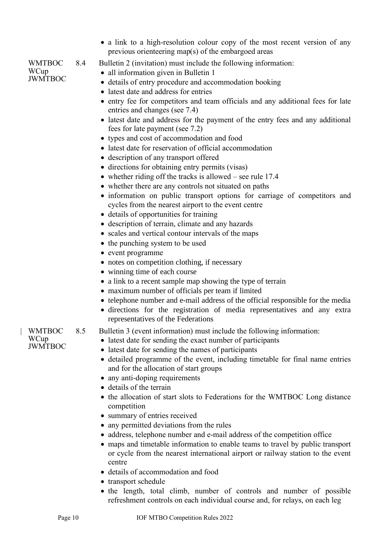• a link to a high-resolution colour copy of the most recent version of any previous orienteering map(s) of the embargoed areas

#### WMTBOC **WCup** JWMTBOC

- 8.4 Bulletin 2 (invitation) must include the following information:
	- all information given in Bulletin 1
	- details of entry procedure and accommodation booking
	- latest date and address for entries
	- entry fee for competitors and team officials and any additional fees for late entries and changes (see 7.4)
	- latest date and address for the payment of the entry fees and any additional fees for late payment (see 7.2)
	- types and cost of accommodation and food
	- latest date for reservation of official accommodation
	- description of any transport offered
	- directions for obtaining entry permits (visas)
	- whether riding off the tracks is allowed see rule 17.4
	- whether there are any controls not situated on paths
	- information on public transport options for carriage of competitors and cycles from the nearest airport to the event centre
	- details of opportunities for training
	- description of terrain, climate and any hazards
	- scales and vertical contour intervals of the maps
	- the punching system to be used
	- event programme
	- notes on competition clothing, if necessary
	- winning time of each course
	- a link to a recent sample map showing the type of terrain
	- maximum number of officials per team if limited
	- telephone number and e-mail address of the official responsible for the media
	- directions for the registration of media representatives and any extra representatives of the Federations
- 8.5 Bulletin 3 (event information) must include the following information:
	- latest date for sending the exact number of participants
		- latest date for sending the names of participants
		- detailed programme of the event, including timetable for final name entries and for the allocation of start groups
		- any anti-doping requirements
		- details of the terrain
		- the allocation of start slots to Federations for the WMTBOC Long distance competition
		- summary of entries received
		- any permitted deviations from the rules
		- address, telephone number and e-mail address of the competition office
		- maps and timetable information to enable teams to travel by public transport or cycle from the nearest international airport or railway station to the event centre
		- details of accommodation and food
		- transport schedule
		- the length, total climb, number of controls and number of possible refreshment controls on each individual course and, for relays, on each leg

| WMTBOC **WCup** JWMTBOC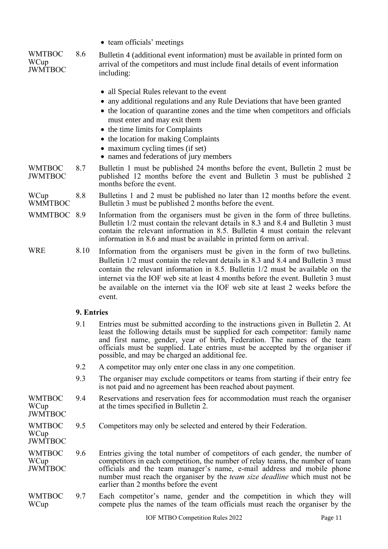• team officials' meetings

| <b>WMTBOC</b><br>WCup<br>JWMTBOC | 8.6 | Bulletin 4 (additional event information) must be available in printed form on<br>arrival of the competitors and must include final details of event information<br>including: |
|----------------------------------|-----|--------------------------------------------------------------------------------------------------------------------------------------------------------------------------------|
|                                  |     |                                                                                                                                                                                |

- all Special Rules relevant to the event
- any additional regulations and any Rule Deviations that have been granted
- the location of quarantine zones and the time when competitors and officials must enter and may exit them
	- the time limits for Complaints
	- the location for making Complaints
	- maximum cycling times (if set)
	- names and federations of jury members
- WMTBOC **IWMTROC** 8.7 Bulletin 1 must be published 24 months before the event, Bulletin 2 must be published 12 months before the event and Bulletin 3 must be published 2 months before the event.
- **WCup WMMTBOC** 8.8 Bulletins 1 and 2 must be published no later than 12 months before the event. Bulletin 3 must be published 2 months before the event.
- WMMTBOC 8.9 Information from the organisers must be given in the form of three bulletins. Bulletin 1/2 must contain the relevant details in 8.3 and 8.4 and Bulletin 3 must contain the relevant information in 8.5. Bulletin 4 must contain the relevant information in 8.6 and must be available in printed form on arrival.
- WRE 8.10 Information from the organisers must be given in the form of two bulletins. Bulletin 1/2 must contain the relevant details in 8.3 and 8.4 and Bulletin 3 must contain the relevant information in 8.5. Bulletin 1/2 must be available on the internet via the IOF web site at least 4 months before the event. Bulletin 3 must be available on the internet via the IOF web site at least 2 weeks before the event.

#### <span id="page-10-0"></span>**9. Entries**

- 9.1 Entries must be submitted according to the instructions given in Bulletin 2. At least the following details must be supplied for each competitor: family name and first name, gender, year of birth, Federation. The names of the team officials must be supplied. Late entries must be accepted by the organiser if possible, and may be charged an additional fee.
- 9.2 A competitor may only enter one class in any one competition.
- 9.3 The organiser may exclude competitors or teams from starting if their entry fee is not paid and no agreement has been reached about payment.
- WMTBOC **WCup** 9.4 Reservations and reservation fees for accommodation must reach the organiser at the times specified in Bulletin 2.

**JWMTBOC** 

**WCup** JWMTBOC

- WMTBOC 9.5 Competitors may only be selected and entered by their Federation.
- WMTBOC **WCup JWMTBOC** 9.6 Entries giving the total number of competitors of each gender, the number of competitors in each competition, the number of relay teams, the number of team officials and the team manager's name, e-mail address and mobile phone number must reach the organiser by the *team size deadline* which must not be earlier than 2 months before the event
- WMTBOC WCup 9.7 Each competitor's name, gender and the competition in which they will compete plus the names of the team officials must reach the organiser by the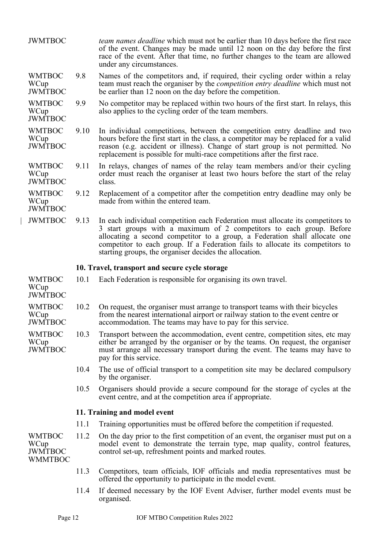<span id="page-11-1"></span><span id="page-11-0"></span>

| <b>JWMTBOC</b>                                            |      | <i>team names deadline</i> which must not be earlier than 10 days before the first race<br>of the event. Changes may be made until 12 noon on the day before the first<br>race of the event. After that time, no further changes to the team are allowed<br>under any circumstances.                                                                                              |
|-----------------------------------------------------------|------|-----------------------------------------------------------------------------------------------------------------------------------------------------------------------------------------------------------------------------------------------------------------------------------------------------------------------------------------------------------------------------------|
| <b>WMTBOC</b><br>WCup<br><b>JWMTBOC</b>                   | 9.8  | Names of the competitors and, if required, their cycling order within a relay<br>team must reach the organiser by the <i>competition entry deadline</i> which must not<br>be earlier than 12 noon on the day before the competition.                                                                                                                                              |
| <b>WMTBOC</b><br>WCup<br><b>JWMTBOC</b>                   | 9.9  | No competitor may be replaced within two hours of the first start. In relays, this<br>also applies to the cycling order of the team members.                                                                                                                                                                                                                                      |
| <b>WMTBOC</b><br>WCup<br><b>JWMTBOC</b>                   | 9.10 | In individual competitions, between the competition entry deadline and two<br>hours before the first start in the class, a competitor may be replaced for a valid<br>reason (e.g. accident or illness). Change of start group is not permitted. No<br>replacement is possible for multi-race competitions after the first race.                                                   |
| <b>WMTBOC</b><br>WCup<br><b>JWMTBOC</b>                   | 9.11 | In relays, changes of names of the relay team members and/or their cycling<br>order must reach the organiser at least two hours before the start of the relay<br>class.                                                                                                                                                                                                           |
| <b>WMTBOC</b><br>WCup<br><b>JWMTBOC</b>                   | 9.12 | Replacement of a competitor after the competition entry deadline may only be<br>made from within the entered team.                                                                                                                                                                                                                                                                |
| <b>JWMTBOC</b>                                            | 9.13 | In each individual competition each Federation must allocate its competitors to<br>3 start groups with a maximum of 2 competitors to each group. Before<br>allocating a second competitor to a group, a Federation shall allocate one<br>competitor to each group. If a Federation fails to allocate its competitors to<br>starting groups, the organiser decides the allocation. |
|                                                           |      | 10. Travel, transport and secure cycle storage                                                                                                                                                                                                                                                                                                                                    |
| <b>WMTBOC</b><br>WCup<br><b>JWMTBOC</b>                   | 10.1 | Each Federation is responsible for organising its own travel.                                                                                                                                                                                                                                                                                                                     |
| <b>WMTBOC</b><br>WCup<br><b>JWMTBOC</b>                   | 10.2 | On request, the organiser must arrange to transport teams with their bicycles<br>from the nearest international airport or railway station to the event centre or<br>accommodation. The teams may have to pay for this service.                                                                                                                                                   |
| <b>WMTBOC</b><br>WCup<br><b>JWMTBOC</b>                   | 10.3 | Transport between the accommodation, event centre, competition sites, etc may<br>either be arranged by the organiser or by the teams. On request, the organiser<br>must arrange all necessary transport during the event. The teams may have to<br>pay for this service.                                                                                                          |
|                                                           | 10.4 | The use of official transport to a competition site may be declared compulsory<br>by the organiser.                                                                                                                                                                                                                                                                               |
|                                                           | 10.5 | Organisers should provide a secure compound for the storage of cycles at the<br>event centre, and at the competition area if appropriate.                                                                                                                                                                                                                                         |
|                                                           |      | 11. Training and model event                                                                                                                                                                                                                                                                                                                                                      |
|                                                           | 11.1 | Training opportunities must be offered before the competition if requested.                                                                                                                                                                                                                                                                                                       |
| <b>WMTBOC</b><br>WCup<br><b>JWMTBOC</b><br><b>WMMTBOC</b> | 11.2 | On the day prior to the first competition of an event, the organiser must put on a<br>model event to demonstrate the terrain type, map quality, control features,<br>control set-up, refreshment points and marked routes.                                                                                                                                                        |
|                                                           | 11.3 | Competitors, team officials, IOF officials and media representatives must be                                                                                                                                                                                                                                                                                                      |
|                                                           |      | offered the opportunity to participate in the model event.                                                                                                                                                                                                                                                                                                                        |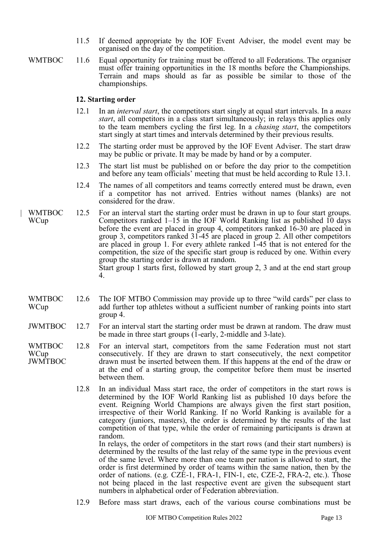- 11.5 If deemed appropriate by the IOF Event Adviser, the model event may be organised on the day of the competition.
- 
- WMTBOC 11.6 Equal opportunity for training must be offered to all Federations. The organiser must offer training opportunities in the 18 months before the Championships. Terrain and maps should as far as possible be similar to those of the championships.

#### <span id="page-12-0"></span>**12. Starting order**

- 12.1 In an *interval start*, the competitors start singly at equal start intervals. In a *mass start*, all competitors in a class start simultaneously; in relays this applies only to the team members cycling the first leg. In a *chasing start*, the competitors start singly at start times and intervals determined by their previous results.
- 12.2 The starting order must be approved by the IOF Event Adviser. The start draw may be public or private. It may be made by hand or by a computer.
- 12.3 The start list must be published on or before the day prior to the competition and before any team officials' meeting that must be held according to Rule 13.1.
- 12.4 The names of all competitors and teams correctly entered must be drawn, even if a competitor has not arrived. Entries without names (blanks) are not considered for the draw.
- | WMTBOC **WCup** 12.5 For an interval start the starting order must be drawn in up to four start groups. Competitors ranked  $1-15$  in the IOF World Ranking list as published 10 days before the event are placed in group 4, competitors ranked 16-30 are placed in group 3, competitors ranked 31-45 are placed in group 2. All other competitors are placed in group 1. For every athlete ranked 1-45 that is not entered for the competition, the size of the specific start group is reduced by one. Within every group the starting order is drawn at random.

Start group 1 starts first, followed by start group 2, 3 and at the end start group 4.

- WMTBOC WCup 12.6 The IOF MTBO Commission may provide up to three "wild cards" per class to add further top athletes without a sufficient number of ranking points into start group 4.
- JWMTBOC 12.7 For an interval start the starting order must be drawn at random. The draw must be made in three start groups (1-early, 2-middle and 3-late).
- WMTBOC **WCup** JWMTBOC 12.8 For an interval start, competitors from the same Federation must not start consecutively. If they are drawn to start consecutively, the next competitor drawn must be inserted between them. If this happens at the end of the draw or at the end of a starting group, the competitor before them must be inserted between them.
	- 12.8 In an individual Mass start race, the order of competitors in the start rows is determined by the IOF World Ranking list as published 10 days before the event. Reigning World Champions are always given the first start position, irrespective of their World Ranking. If no World Ranking is available for a category (juniors, masters), the order is determined by the results of the last competition of that type, while the order of remaining participants is drawn at random.

In relays, the order of competitors in the start rows (and their start numbers) is determined by the results of the last relay of the same type in the previous event of the same level. Where more than one team per nation is allowed to start, the order is first determined by order of teams within the same nation, then by the order of nations. (e.g. CZE-1, FRA-1, FIN-1, etc, CZE-2, FRA-2, etc.). Those not being placed in the last respective event are given the subsequent start numbers in alphabetical order of Federation abbreviation.

12.9 Before mass start draws, each of the various course combinations must be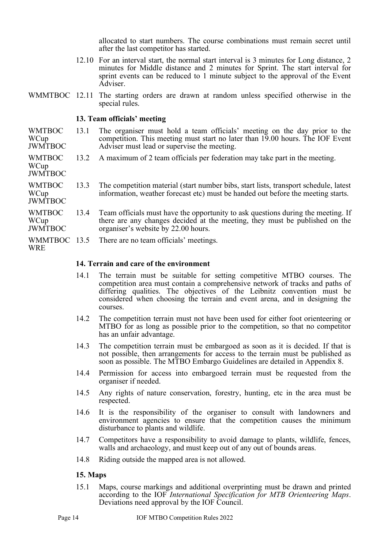allocated to start numbers. The course combinations must remain secret until after the last competitor has started.

- 12.10 For an interval start, the normal start interval is 3 minutes for Long distance, 2 minutes for Middle distance and 2 minutes for Sprint. The start interval for sprint events can be reduced to 1 minute subject to the approval of the Event Adviser.
- WMMTBOC 12.11 The starting orders are drawn at random unless specified otherwise in the special rules.

#### <span id="page-13-0"></span>**13. Team officials' meeting**

- WMTBOC WCup JWMTBOC 13.1 The organiser must hold a team officials' meeting on the day prior to the competition. This meeting must start no later than 19.00 hours. The IOF Event Adviser must lead or supervise the meeting.
- WMTBOC 13.2 A maximum of 2 team officials per federation may take part in the meeting.

WCup JWMTBOC

- WMTBOC **WCup** JWMTBOC 13.3 The competition material (start number bibs, start lists, transport schedule, latest information, weather forecast etc) must be handed out before the meeting starts.
- WMTBOC WCup JWMTBOC 13.4 Team officials must have the opportunity to ask questions during the meeting. If there are any changes decided at the meeting, they must be published on the organiser's website by 22.00 hours.
- WMMTBOC 13.5 There are no team officials' meetings.

WRE

#### <span id="page-13-1"></span>**14. Terrain and care of the environment**

- 14.1 The terrain must be suitable for setting competitive MTBO courses. The competition area must contain a comprehensive network of tracks and paths of differing qualities. The objectives of the Leibnitz convention must be considered when choosing the terrain and event arena, and in designing the courses.
- 14.2 The competition terrain must not have been used for either foot orienteering or MTBO for as long as possible prior to the competition, so that no competitor has an unfair advantage.
- 14.3 The competition terrain must be embargoed as soon as it is decided. If that is not possible, then arrangements for access to the terrain must be published as soon as possible. The MTBO Embargo Guidelines are detailed in Appendix 8.
- 14.4 Permission for access into embargoed terrain must be requested from the organiser if needed.
- 14.5 Any rights of nature conservation, forestry, hunting, etc in the area must be respected.
- 14.6 It is the responsibility of the organiser to consult with landowners and environment agencies to ensure that the competition causes the minimum disturbance to plants and wildlife.
- 14.7 Competitors have a responsibility to avoid damage to plants, wildlife, fences, walls and archaeology, and must keep out of any out of bounds areas.
- 14.8 Riding outside the mapped area is not allowed.

#### <span id="page-13-2"></span>**15. Maps**

15.1 Maps, course markings and additional overprinting must be drawn and printed according to the IOF *International Specification for MTB Orienteering Maps*. Deviations need approval by the IOF Council.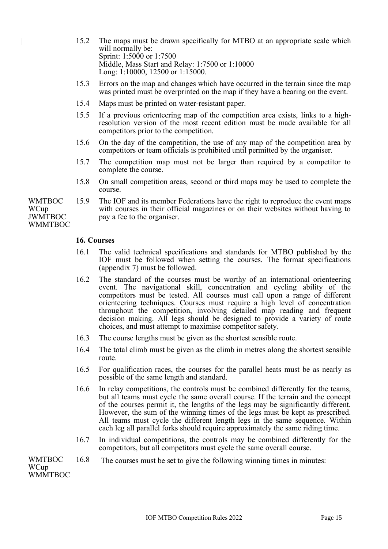- | 15.2 The maps must be drawn specifically for MTBO at an appropriate scale which will normally be: Sprint: 1:5000 or 1:7500 Middle, Mass Start and Relay: 1:7500 or 1:10000 Long: 1:10000, 12500 or 1:15000.
- 15.3 Errors on the map and changes which have occurred in the terrain since the map was printed must be overprinted on the map if they have a bearing on the event.
- 15.4 Maps must be printed on water-resistant paper.
- 15.5 If a previous orienteering map of the competition area exists, links to a highresolution version of the most recent edition must be made available for all competitors prior to the competition.
- 15.6 On the day of the competition, the use of any map of the competition area by competitors or team officials is prohibited until permitted by the organiser.
- 15.7 The competition map must not be larger than required by a competitor to complete the course.
- 15.8 On small competition areas, second or third maps may be used to complete the course.
- WMTBOC WCup JWMTBOC WMMTBOC 15.9 The IOF and its member Federations have the right to reproduce the event maps with courses in their official magazines or on their websites without having to pay a fee to the organiser.

#### <span id="page-14-0"></span>**16. Courses**

- 16.1 The valid technical specifications and standards for MTBO published by the IOF must be followed when setting the courses. The format specifications (appendix 7) must be followed.
- 16.2 The standard of the courses must be worthy of an international orienteering event. The navigational skill, concentration and cycling ability of the competitors must be tested. All courses must call upon a range of different orienteering techniques. Courses must require a high level of concentration throughout the competition, involving detailed map reading and frequent decision making. All legs should be designed to provide a variety of route choices, and must attempt to maximise competitor safety.
- 16.3 The course lengths must be given as the shortest sensible route.
- 16.4 The total climb must be given as the climb in metres along the shortest sensible route.
- 16.5 For qualification races, the courses for the parallel heats must be as nearly as possible of the same length and standard.
- 16.6 In relay competitions, the controls must be combined differently for the teams, but all teams must cycle the same overall course. If the terrain and the concept of the courses permit it, the lengths of the legs may be significantly different. However, the sum of the winning times of the legs must be kept as prescribed. All teams must cycle the different length legs in the same sequence. Within each leg all parallel forks should require approximately the same riding time.
- 16.7 In individual competitions, the controls may be combined differently for the competitors, but all competitors must cycle the same overall course.

#### WMTBOC **WCup WMMTBOC** 16.8 The courses must be set to give the following winning times in minutes: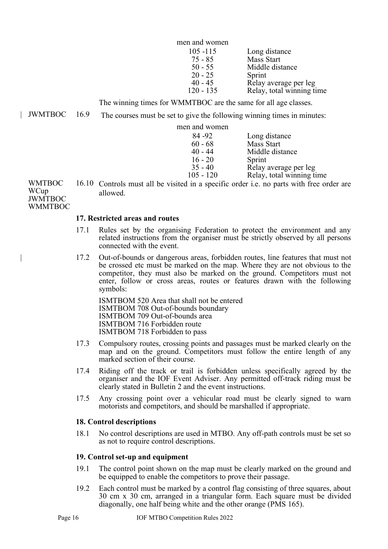| men and women |                           |
|---------------|---------------------------|
| $105 - 115$   | Long distance             |
| $75 - 85$     | <b>Mass Start</b>         |
| $50 - 55$     | Middle distance           |
| $20 - 25$     | Sprint                    |
| $40 - 45$     | Relay average per leg     |
| $120 - 135$   | Relay, total winning time |

The winning times for WMMTBOC are the same for all age classes.

| JWMTBOC 16.9 The courses must be set to give the following winning times in minutes:

men and women

| 84 - 92     | Long distance             |
|-------------|---------------------------|
| $60 - 68$   | Mass Start                |
| $40 - 44$   | Middle distance           |
| $16 - 20$   | Sprint                    |
| $35 - 40$   | Relay average per leg     |
| $105 - 120$ | Relay, total winning time |

WMTBOC **WCup** JWMTBOC WMMTBOC

# 16.10 Controls must all be visited in a specific order i.e. no parts with free order are allowed.

#### <span id="page-15-0"></span>**17. Restricted areas and routes**

- 17.1 Rules set by the organising Federation to protect the environment and any related instructions from the organiser must be strictly observed by all persons connected with the event.
- | 17.2 Out-of-bounds or dangerous areas, forbidden routes, line features that must not be crossed etc must be marked on the map. Where they are not obvious to the competitor, they must also be marked on the ground. Competitors must not enter, follow or cross areas, routes or features drawn with the following symbols:

ISMTBOM 520 Area that shall not be entered ISMTBOM 708 Out-of-bounds boundary ISMTBOM 709 Out-of-bounds area ISMTBOM 716 Forbidden route ISMTBOM 718 Forbidden to pass

- 17.3 Compulsory routes, crossing points and passages must be marked clearly on the map and on the ground. Competitors must follow the entire length of any marked section of their course.
- 17.4 Riding off the track or trail is forbidden unless specifically agreed by the organiser and the IOF Event Adviser. Any permitted off-track riding must be clearly stated in Bulletin 2 and the event instructions.
- 17.5 Any crossing point over a vehicular road must be clearly signed to warn motorists and competitors, and should be marshalled if appropriate.

## <span id="page-15-1"></span>**18. Control descriptions**

18.1 No control descriptions are used in MTBO. Any off-path controls must be set so as not to require control descriptions.

## <span id="page-15-2"></span>**19. Control set-up and equipment**

- 19.1 The control point shown on the map must be clearly marked on the ground and be equipped to enable the competitors to prove their passage.
- 19.2 Each control must be marked by a control flag consisting of three squares, about 30 cm x 30 cm, arranged in a triangular form. Each square must be divided diagonally, one half being white and the other orange (PMS 165).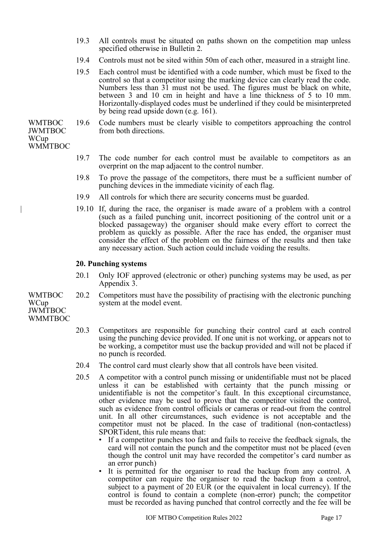- 19.3 All controls must be situated on paths shown on the competition map unless specified otherwise in Bulletin 2.
- 19.4 Controls must not be sited within 50m of each other, measured in a straight line.
- 19.5 Each control must be identified with a code number, which must be fixed to the control so that a competitor using the marking device can clearly read the code. Numbers less than 31 must not be used. The figures must be black on white, between 3 and 10 cm in height and have a line thickness of 5 to 10 mm. Horizontally-displayed codes must be underlined if they could be misinterpreted by being read upside down (e.g. 161).
- WMTBOC JWMTBOC 19.6 Code numbers must be clearly visible to competitors approaching the control from both directions.

#### WCup **WMMTBOC**

- 19.7 The code number for each control must be available to competitors as an overprint on the map adjacent to the control number.
- 19.8 To prove the passage of the competitors, there must be a sufficient number of punching devices in the immediate vicinity of each flag.
- 19.9 All controls for which there are security concerns must be guarded.
- | 19.10 If, during the race, the organiser is made aware of a problem with a control (such as a failed punching unit, incorrect positioning of the control unit or a blocked passageway) the organiser should make every effort to correct the problem as quickly as possible. After the race has ended, the organiser must consider the effect of the problem on the fairness of the results and then take any necessary action. Such action could include voiding the results.

#### <span id="page-16-0"></span>**20. Punching systems**

- 20.1 Only IOF approved (electronic or other) punching systems may be used, as per Appendix 3.
- WMTBOC 20.2 Competitors must have the possibility of practising with the electronic punching system at the model event.

#### JWMTBOC **WMMTBOC**

WCup

- 20.3 Competitors are responsible for punching their control card at each control using the punching device provided. If one unit is not working, or appears not to be working, a competitor must use the backup provided and will not be placed if no punch is recorded.
- 20.4 The control card must clearly show that all controls have been visited.
- 20.5 A competitor with a control punch missing or unidentifiable must not be placed unless it can be established with certainty that the punch missing or unidentifiable is not the competitor's fault. In this exceptional circumstance, other evidence may be used to prove that the competitor visited the control, such as evidence from control officials or cameras or read-out from the control unit. In all other circumstances, such evidence is not acceptable and the competitor must not be placed. In the case of traditional (non-contactless) SPORTident, this rule means that:
	- If a competitor punches too fast and fails to receive the feedback signals, the card will not contain the punch and the competitor must not be placed (even though the control unit may have recorded the competitor's card number as an error punch)
	- It is permitted for the organiser to read the backup from any control. A competitor can require the organiser to read the backup from a control, subject to a payment of 20 EUR (or the equivalent in local currency). If the control is found to contain a complete (non-error) punch; the competitor must be recorded as having punched that control correctly and the fee will be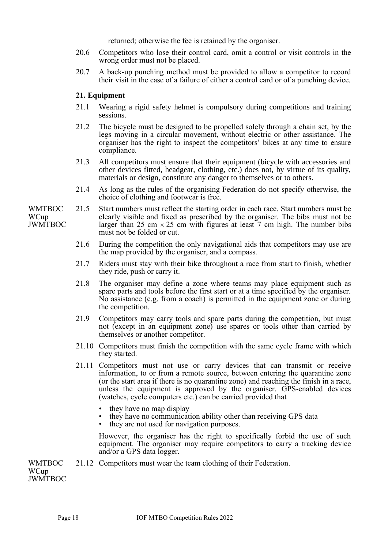returned; otherwise the fee is retained by the organiser.

- 20.6 Competitors who lose their control card, omit a control or visit controls in the wrong order must not be placed.
- 20.7 A back-up punching method must be provided to allow a competitor to record their visit in the case of a failure of either a control card or of a punching device.

#### <span id="page-17-0"></span>**21. Equipment**

- 21.1 Wearing a rigid safety helmet is compulsory during competitions and training sessions.
- 21.2 The bicycle must be designed to be propelled solely through a chain set, by the legs moving in a circular movement, without electric or other assistance. The organiser has the right to inspect the competitors' bikes at any time to ensure compliance.
- 21.3 All competitors must ensure that their equipment (bicycle with accessories and other devices fitted, headgear, clothing, etc.) does not, by virtue of its quality, materials or design, constitute any danger to themselves or to others.
- 21.4 As long as the rules of the organising Federation do not specify otherwise, the choice of clothing and footwear is free.
- 21.5 Start numbers must reflect the starting order in each race. Start numbers must be clearly visible and fixed as prescribed by the organiser. The bibs must not be larger than 25 cm  $\times$  25 cm with figures at least 7 cm high. The number bibs must not be folded or cut.
	- 21.6 During the competition the only navigational aids that competitors may use are the map provided by the organiser, and a compass.
	- 21.7 Riders must stay with their bike throughout a race from start to finish, whether they ride, push or carry it.
	- 21.8 The organiser may define a zone where teams may place equipment such as spare parts and tools before the first start or at a time specified by the organiser. No assistance (e.g. from a coach) is permitted in the equipment zone or during the competition.
	- 21.9 Competitors may carry tools and spare parts during the competition, but must not (except in an equipment zone) use spares or tools other than carried by themselves or another competitor.
	- 21.10 Competitors must finish the competition with the same cycle frame with which they started.
	- | 21.11 Competitors must not use or carry devices that can transmit or receive information, to or from a remote source, between entering the quarantine zone (or the start area if there is no quarantine zone) and reaching the finish in a race, unless the equipment is approved by the organiser. GPS-enabled devices (watches, cycle computers etc.) can be carried provided that
		- they have no map display
		- they have no communication ability other than receiving GPS data
		- they are not used for navigation purposes.

However, the organiser has the right to specifically forbid the use of such equipment. The organiser may require competitors to carry a tracking device and/or a GPS data logger.

WMTBOC 21.12 Competitors must wear the team clothing of their Federation.

**WCup** JWMTBOC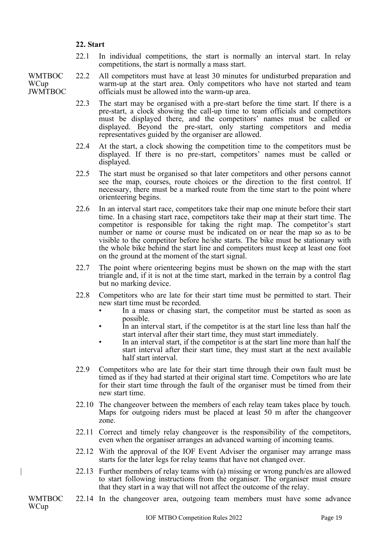#### <span id="page-18-0"></span>**22. Start**

- 22.1 In individual competitions, the start is normally an interval start. In relay competitions, the start is normally a mass start.
- WMTBOC **WCup** JWMTBOC 22.2 All competitors must have at least 30 minutes for undisturbed preparation and warm-up at the start area. Only competitors who have not started and team officials must be allowed into the warm-up area.
	- 22.3 The start may be organised with a pre-start before the time start. If there is a pre-start, a clock showing the call-up time to team officials and competitors must be displayed there, and the competitors' names must be called or displayed. Beyond the pre-start, only starting competitors and media representatives guided by the organiser are allowed.
	- 22.4 At the start, a clock showing the competition time to the competitors must be displayed. If there is no pre-start, competitors' names must be called or displayed.
	- 22.5 The start must be organised so that later competitors and other persons cannot see the map, courses, route choices or the direction to the first control. If necessary, there must be a marked route from the time start to the point where orienteering begins.
	- 22.6 In an interval start race, competitors take their map one minute before their start time. In a chasing start race, competitors take their map at their start time. The competitor is responsible for taking the right map. The competitor's start number or name or course must be indicated on or near the map so as to be visible to the competitor before he/she starts. The bike must be stationary with the whole bike behind the start line and competitors must keep at least one foot on the ground at the moment of the start signal.
	- 22.7 The point where orienteering begins must be shown on the map with the start triangle and, if it is not at the time start, marked in the terrain by a control flag but no marking device.
	- 22.8 Competitors who are late for their start time must be permitted to start. Their new start time must be recorded.
		- In a mass or chasing start, the competitor must be started as soon as possible.
		- In an interval start, if the competitor is at the start line less than half the start interval after their start time, they must start immediately.
		- In an interval start, if the competitor is at the start line more than half the start interval after their start time, they must start at the next available half start interval.
	- 22.9 Competitors who are late for their start time through their own fault must be timed as if they had started at their original start time. Competitors who are late for their start time through the fault of the organiser must be timed from their new start time.
	- 22.10 The changeover between the members of each relay team takes place by touch. Maps for outgoing riders must be placed at least 50 m after the changeover zone.
	- 22.11 Correct and timely relay changeover is the responsibility of the competitors, even when the organiser arranges an advanced warning of incoming teams.
	- 22.12 With the approval of the IOF Event Adviser the organiser may arrange mass starts for the later legs for relay teams that have not changed over.
	- | 22.13 Further members of relay teams with (a) missing or wrong punch/es are allowed to start following instructions from the organiser. The organiser must ensure that they start in a way that will not affect the outcome of the relay.
- WMTBOC WCup
	- 22.14 In the changeover area, outgoing team members must have some advance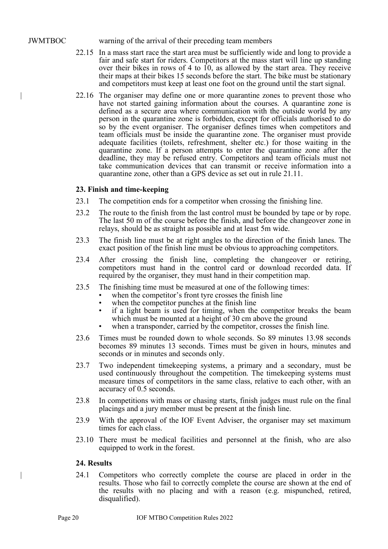JWMTBOC warning of the arrival of their preceding team members

- 22.15 In a mass start race the start area must be sufficiently wide and long to provide a fair and safe start for riders. Competitors at the mass start will line up standing over their bikes in rows of 4 to 10, as allowed by the start area. They receive their maps at their bikes 15 seconds before the start. The bike must be stationary and competitors must keep at least one foot on the ground until the start signal.
- | 22.16 The organiser may define one or more quarantine zones to prevent those who have not started gaining information about the courses. A quarantine zone is defined as a secure area where communication with the outside world by any person in the quarantine zone is forbidden, except for officials authorised to do so by the event organiser. The organiser defines times when competitors and team officials must be inside the quarantine zone. The organiser must provide adequate facilities (toilets, refreshment, shelter etc.) for those waiting in the quarantine zone. If a person attempts to enter the quarantine zone after the deadline, they may be refused entry. Competitors and team officials must not take communication devices that can transmit or receive information into a quarantine zone, other than a GPS device as set out in rule 21.11.

#### <span id="page-19-0"></span>**23. Finish and time-keeping**

- 23.1 The competition ends for a competitor when crossing the finishing line.
- 23.2 The route to the finish from the last control must be bounded by tape or by rope. The last 50 m of the course before the finish, and before the changeover zone in relays, should be as straight as possible and at least 5m wide.
- 23.3 The finish line must be at right angles to the direction of the finish lanes. The exact position of the finish line must be obvious to approaching competitors.
- 23.4 After crossing the finish line, completing the changeover or retiring, competitors must hand in the control card or download recorded data. If required by the organiser, they must hand in their competition map.
- 23.5 The finishing time must be measured at one of the following times:
	- when the competitor's front tyre crosses the finish line
	- when the competitor punches at the finish line
	- if a light beam is used for timing, when the competitor breaks the beam which must be mounted at a height of 30 cm above the ground
	- when a transponder, carried by the competitor, crosses the finish line.
- 23.6 Times must be rounded down to whole seconds. So 89 minutes 13.98 seconds becomes 89 minutes 13 seconds. Times must be given in hours, minutes and seconds or in minutes and seconds only.
- 23.7 Two independent timekeeping systems, a primary and a secondary, must be used continuously throughout the competition. The timekeeping systems must measure times of competitors in the same class, relative to each other, with an accuracy of 0.5 seconds.
- 23.8 In competitions with mass or chasing starts, finish judges must rule on the final placings and a jury member must be present at the finish line.
- 23.9 With the approval of the IOF Event Adviser, the organiser may set maximum times for each class.
- 23.10 There must be medical facilities and personnel at the finish, who are also equipped to work in the forest.

#### <span id="page-19-1"></span>**24. Results**

| 24.1 Competitors who correctly complete the course are placed in order in the results. Those who fail to correctly complete the course are shown at the end of the results with no placing and with a reason (e.g. mispunched, retired, disqualified).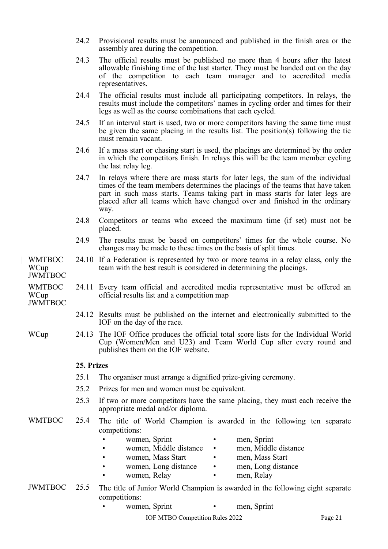- 24.2 Provisional results must be announced and published in the finish area or the assembly area during the competition.
- 24.3 The official results must be published no more than 4 hours after the latest allowable finishing time of the last starter. They must be handed out on the day of the competition to each team manager and to accredited media representatives.
- 24.4 The official results must include all participating competitors. In relays, the results must include the competitors' names in cycling order and times for their legs as well as the course combinations that each cycled.
- 24.5 If an interval start is used, two or more competitors having the same time must be given the same placing in the results list. The position(s) following the tie must remain vacant.
- 24.6 If a mass start or chasing start is used, the placings are determined by the order in which the competitors finish. In relays this will be the team member cycling the last relay leg.
- 24.7 In relays where there are mass starts for later legs, the sum of the individual times of the team members determines the placings of the teams that have taken part in such mass starts. Teams taking part in mass starts for later legs are placed after all teams which have changed over and finished in the ordinary way.
- 24.8 Competitors or teams who exceed the maximum time (if set) must not be placed.
- 24.9 The results must be based on competitors' times for the whole course. No changes may be made to these times on the basis of split times.
- | WMTBOC WCup 24.10 If a Federation is represented by two or more teams in a relay class, only the team with the best result is considered in determining the placings.

JWMTBOC

WMTBOC WCup 24.11 Every team official and accredited media representative must be offered an official results list and a competition map

JWMTBOC

- 24.12 Results must be published on the internet and electronically submitted to the IOF on the day of the race.
- WCup 24.13 The IOF Office produces the official total score lists for the Individual World Cup (Women/Men and U23) and Team World Cup after every round and publishes them on the IOF website.

#### <span id="page-20-0"></span>**25. Prizes**

- 25.1 The organiser must arrange a dignified prize-giving ceremony.
- 25.2 Prizes for men and women must be equivalent.
- 25.3 If two or more competitors have the same placing, they must each receive the appropriate medal and/or diploma.

# WMTBOC 25.4 The title of World Champion is awarded in the following ten separate competitions:

- 
- women, Sprint men, Sprint
- women, Middle distance men, Middle distance
- 
- - women, Mass Start men, Mass Start
	- women, Long distance men, Long distance
		-
- women, Relay men, Relay
	-

# JWMTBOC 25.5 The title of Junior World Champion is awarded in the following eight separate competitions:

women, Sprint • men, Sprint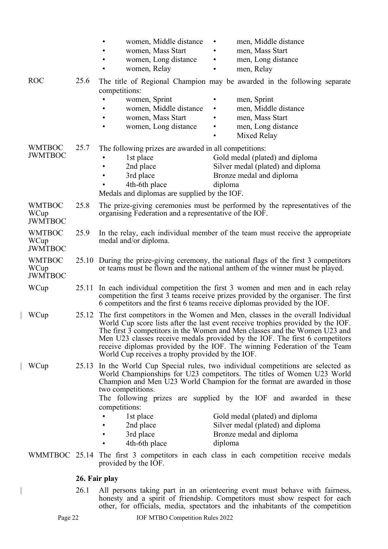|                                         |      | women, Middle distance<br>men, Middle distance<br>women, Mass Start<br>men, Mass Start<br>women, Long distance<br>men, Long distance<br>women, Relay<br>men, Relay                                                                                                                                                                                                                                                                                                                                                       |
|-----------------------------------------|------|--------------------------------------------------------------------------------------------------------------------------------------------------------------------------------------------------------------------------------------------------------------------------------------------------------------------------------------------------------------------------------------------------------------------------------------------------------------------------------------------------------------------------|
| <b>ROC</b>                              | 25.6 | The title of Regional Champion may be awarded in the following separate<br>competitions:<br>women, Sprint<br>men, Sprint<br>women, Middle distance<br>men, Middle distance<br>men, Mass Start<br>women, Mass Start<br>women, Long distance<br>men, Long distance<br>$\bullet$<br>Mixed Relay                                                                                                                                                                                                                             |
| <b>WMTBOC</b><br><b>JWMTBOC</b>         | 25.7 | The following prizes are awarded in all competitions:<br>1st place<br>Gold medal (plated) and diploma<br>Silver medal (plated) and diploma<br>2nd place<br>3rd place<br>Bronze medal and diploma<br>4th-6th place<br>diploma<br>Medals and diplomas are supplied by the IOF.                                                                                                                                                                                                                                             |
| <b>WMTBOC</b><br>WCup<br><b>JWMTBOC</b> | 25.8 | The prize-giving ceremonies must be performed by the representatives of the<br>organising Federation and a representative of the IOF.                                                                                                                                                                                                                                                                                                                                                                                    |
| <b>WMTBOC</b><br>WCup<br><b>JWMTBOC</b> | 25.9 | In the relay, each individual member of the team must receive the appropriate<br>medal and/or diploma.                                                                                                                                                                                                                                                                                                                                                                                                                   |
| <b>WMTBOC</b><br>WCup<br><b>JWMTBOC</b> |      | 25.10 During the prize-giving ceremony, the national flags of the first 3 competitors<br>or teams must be flown and the national anthem of the winner must be played.                                                                                                                                                                                                                                                                                                                                                    |
| WCup                                    |      | 25.11 In each individual competition the first 3 women and men and in each relay<br>competition the first 3 teams receive prizes provided by the organiser. The first<br>6 competitors and the first 6 teams receive diplomas provided by the IOF.                                                                                                                                                                                                                                                                       |
| WCup                                    |      | 25.12 The first competitors in the Women and Men, classes in the overall Individual<br>World Cup score lists after the last event receive trophies provided by the IOF.<br>The first 3 competitors in the Women and Men classes and the Women U23 and<br>Men U23 classes receive medals provided by the IOF. The first 6 competitors<br>receive diplomas provided by the IOF. The winning Federation of the Team<br>World Cup receives a trophy provided by the IOF.                                                     |
| WCup                                    |      | 25.13 In the World Cup Special rules, two individual competitions are selected as<br>World Championships for U23 competitors. The titles of Women U23 World<br>Champion and Men U23 World Champion for the format are awarded in those<br>two competitions.<br>The following prizes are supplied by the IOF and awarded in these<br>competitions:<br>1st place<br>Gold medal (plated) and diploma<br>Silver medal (plated) and diploma<br>2nd place<br>3rd place<br>Bronze medal and diploma<br>4th-6th place<br>diploma |
|                                         |      | WMMTBOC 25.14 The first 3 competitors in each class in each competition receive medals<br>provided by the IOF.                                                                                                                                                                                                                                                                                                                                                                                                           |
|                                         |      | 26. Fair play                                                                                                                                                                                                                                                                                                                                                                                                                                                                                                            |

<span id="page-21-0"></span>| 26.1 All persons taking part in an orienteering event must behave with fairness, honesty and a spirit of friendship. Competitors must show respect for each other, for officials, media, spectators and the inhabitants of the competition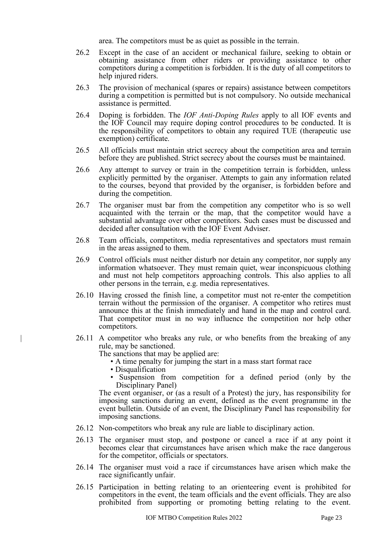area. The competitors must be as quiet as possible in the terrain.

- 26.2 Except in the case of an accident or mechanical failure, seeking to obtain or obtaining assistance from other riders or providing assistance to other competitors during a competition is forbidden. It is the duty of all competitors to help injured riders.
- 26.3 The provision of mechanical (spares or repairs) assistance between competitors during a competition is permitted but is not compulsory. No outside mechanical assistance is permitted.
- 26.4 Doping is forbidden. The *IOF Anti-Doping Rules* apply to all IOF events and the IOF Council may require doping control procedures to be conducted. It is the responsibility of competitors to obtain any required TUE (therapeutic use exemption) certificate.
- 26.5 All officials must maintain strict secrecy about the competition area and terrain before they are published. Strict secrecy about the courses must be maintained.
- 26.6 Any attempt to survey or train in the competition terrain is forbidden, unless explicitly permitted by the organiser. Attempts to gain any information related to the courses, beyond that provided by the organiser, is forbidden before and during the competition.
- 26.7 The organiser must bar from the competition any competitor who is so well acquainted with the terrain or the map, that the competitor would have a substantial advantage over other competitors. Such cases must be discussed and decided after consultation with the IOF Event Adviser.
- 26.8 Team officials, competitors, media representatives and spectators must remain in the areas assigned to them.
- 26.9 Control officials must neither disturb nor detain any competitor, nor supply any information whatsoever. They must remain quiet, wear inconspicuous clothing and must not help competitors approaching controls. This also applies to all other persons in the terrain, e.g. media representatives.
- 26.10 Having crossed the finish line, a competitor must not re-enter the competition terrain without the permission of the organiser. A competitor who retires must announce this at the finish immediately and hand in the map and control card. That competitor must in no way influence the competition nor help other competitors.
- | 26.11 A competitor who breaks any rule, or who benefits from the breaking of any rule, may be sanctioned.

The sanctions that may be applied are:

- A time penalty for jumping the start in a mass start format race
- Disqualification
- Suspension from competition for a defined period (only by the Disciplinary Panel)

The event organiser, or (as a result of a Protest) the jury, has responsibility for imposing sanctions during an event, defined as the event programme in the event bulletin. Outside of an event, the Disciplinary Panel has responsibility for imposing sanctions.

- 26.12 Non-competitors who break any rule are liable to disciplinary action.
- 26.13 The organiser must stop, and postpone or cancel a race if at any point it becomes clear that circumstances have arisen which make the race dangerous for the competitor, officials or spectators.
- 26.14 The organiser must void a race if circumstances have arisen which make the race significantly unfair.
- 26.15 Participation in betting relating to an orienteering event is prohibited for competitors in the event, the team officials and the event officials. They are also prohibited from supporting or promoting betting relating to the event.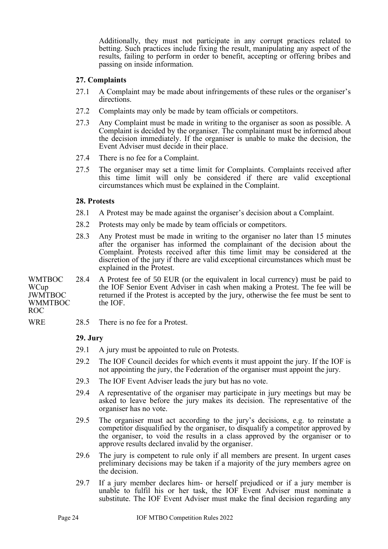Additionally, they must not participate in any corrupt practices related to betting. Such practices include fixing the result, manipulating any aspect of the results, failing to perform in order to benefit, accepting or offering bribes and passing on inside information.

#### <span id="page-23-0"></span>**27. Complaints**

- 27.1 A Complaint may be made about infringements of these rules or the organiser's directions.
- 27.2 Complaints may only be made by team officials or competitors.
- 27.3 Any Complaint must be made in writing to the organiser as soon as possible. A Complaint is decided by the organiser. The complainant must be informed about the decision immediately. If the organiser is unable to make the decision, the Event Adviser must decide in their place.
- 27.4 There is no fee for a Complaint.
- 27.5 The organiser may set a time limit for Complaints. Complaints received after this time limit will only be considered if there are valid exceptional circumstances which must be explained in the Complaint.

#### <span id="page-23-1"></span>**28. Protests**

- 28.1 A Protest may be made against the organiser's decision about a Complaint.
- 28.2 Protests may only be made by team officials or competitors.
- 28.3 Any Protest must be made in writing to the organiser no later than 15 minutes after the organiser has informed the complainant of the decision about the Complaint. Protests received after this time limit may be considered at the discretion of the jury if there are valid exceptional circumstances which must be explained in the Protest.

WMTBOC WCup JWMTBOC WMMTBOC 28.4 A Protest fee of 50 EUR (or the equivalent in local currency) must be paid to the IOF Senior Event Adviser in cash when making a Protest. The fee will be returned if the Protest is accepted by the jury, otherwise the fee must be sent to the IOF.

ROC

WRE 28.5 There is no fee for a Protest.

#### <span id="page-23-2"></span>**29. Jury**

- 29.1 A jury must be appointed to rule on Protests.
- 29.2 The IOF Council decides for which events it must appoint the jury. If the IOF is not appointing the jury, the Federation of the organiser must appoint the jury.
- 29.3 The IOF Event Adviser leads the jury but has no vote.
- 29.4 A representative of the organiser may participate in jury meetings but may be asked to leave before the jury makes its decision. The representative of the organiser has no vote.
- 29.5 The organiser must act according to the jury's decisions, e.g. to reinstate a competitor disqualified by the organiser, to disqualify a competitor approved by the organiser, to void the results in a class approved by the organiser or to approve results declared invalid by the organiser.
- 29.6 The jury is competent to rule only if all members are present. In urgent cases preliminary decisions may be taken if a majority of the jury members agree on the decision.
- 29.7 If a jury member declares him- or herself prejudiced or if a jury member is unable to fulfil his or her task, the IOF Event Adviser must nominate a substitute. The IOF Event Adviser must make the final decision regarding any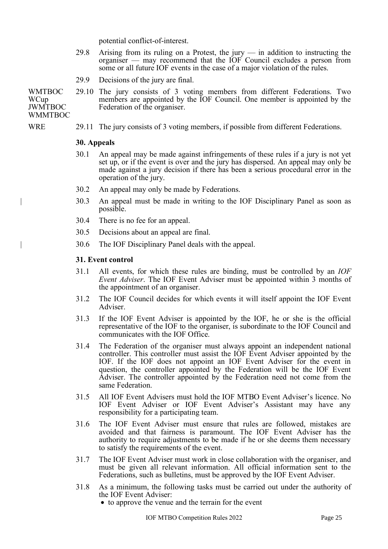potential conflict-of-interest.

- 29.8 Arising from its ruling on a Protest, the jury in addition to instructing the organiser — may recommend that the IOF Council excludes a person from some or all future IOF events in the case of a major violation of the rules.
- 29.9 Decisions of the jury are final.

**WMTROC WCup** JWMTBOC 29.10 The jury consists of 3 voting members from different Federations. Two members are appointed by the IOF Council. One member is appointed by the Federation of the organiser.

**WMMTBOC** 

WRE 29.11 The jury consists of 3 voting members, if possible from different Federations.

#### <span id="page-24-0"></span>**30. Appeals**

- 30.1 An appeal may be made against infringements of these rules if a jury is not yet set up, or if the event is over and the jury has dispersed. An appeal may only be made against a jury decision if there has been a serious procedural error in the operation of the jury.
- 30.2 An appeal may only be made by Federations.
- | 30.3 An appeal must be made in writing to the IOF Disciplinary Panel as soon as possible.
- 30.4 There is no fee for an appeal.
- 30.5 Decisions about an appeal are final.
- | 30.6 The IOF Disciplinary Panel deals with the appeal.

#### <span id="page-24-1"></span>**31. Event control**

- 31.1 All events, for which these rules are binding, must be controlled by an *IOF Event Adviser*. The IOF Event Adviser must be appointed within 3 months of the appointment of an organiser.
- 31.2 The IOF Council decides for which events it will itself appoint the IOF Event Adviser.
- 31.3 If the IOF Event Adviser is appointed by the IOF, he or she is the official representative of the IOF to the organiser, is subordinate to the IOF Council and communicates with the IOF Office.
- 31.4 The Federation of the organiser must always appoint an independent national controller. This controller must assist the IOF Event Adviser appointed by the IOF. If the IOF does not appoint an IOF Event Adviser for the event in question, the controller appointed by the Federation will be the IOF Event Adviser. The controller appointed by the Federation need not come from the same Federation.
- 31.5 All IOF Event Advisers must hold the IOF MTBO Event Adviser's licence. No IOF Event Adviser or IOF Event Adviser's Assistant may have any responsibility for a participating team.
- 31.6 The IOF Event Adviser must ensure that rules are followed, mistakes are avoided and that fairness is paramount. The IOF Event Adviser has the authority to require adjustments to be made if he or she deems them necessary to satisfy the requirements of the event.
- 31.7 The IOF Event Adviser must work in close collaboration with the organiser, and must be given all relevant information. All official information sent to the Federations, such as bulletins, must be approved by the IOF Event Adviser.
- 31.8 As a minimum, the following tasks must be carried out under the authority of the IOF Event Adviser:
	- to approve the venue and the terrain for the event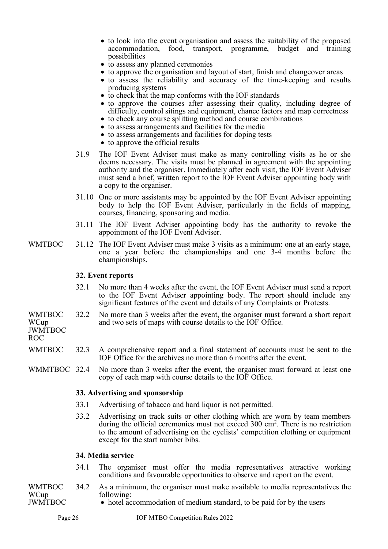- to look into the event organisation and assess the suitability of the proposed accommodation, food, transport, programme, budget and training possibilities
- to assess any planned ceremonies
- to approve the organisation and layout of start, finish and changeover areas
- to assess the reliability and accuracy of the time-keeping and results producing systems
- to check that the map conforms with the IOF standards
- to approve the courses after assessing their quality, including degree of difficulty, control sitings and equipment, chance factors and map correctness
- to check any course splitting method and course combinations
- to assess arrangements and facilities for the media
- to assess arrangements and facilities for doping tests
- to approve the official results
- 31.9 The IOF Event Adviser must make as many controlling visits as he or she deems necessary. The visits must be planned in agreement with the appointing authority and the organiser. Immediately after each visit, the IOF Event Adviser must send a brief, written report to the IOF Event Adviser appointing body with a copy to the organiser.
- 31.10 One or more assistants may be appointed by the IOF Event Adviser appointing body to help the IOF Event Adviser, particularly in the fields of mapping, courses, financing, sponsoring and media.
- 31.11 The IOF Event Adviser appointing body has the authority to revoke the appointment of the IOF Event Adviser.
- WMTBOC 31.12 The IOF Event Adviser must make 3 visits as a minimum: one at an early stage, one a year before the championships and one 3-4 months before the championships.

#### <span id="page-25-0"></span>**32. Event reports**

- 32.1 No more than 4 weeks after the event, the IOF Event Adviser must send a report to the IOF Event Adviser appointing body. The report should include any significant features of the event and details of any Complaints or Protests.
- WMTBOC WCup 32.2 No more than 3 weeks after the event, the organiser must forward a short report and two sets of maps with course details to the IOF Office.

JWMTBOC ROC

- WMTBOC 32.3 A comprehensive report and a final statement of accounts must be sent to the IOF Office for the archives no more than 6 months after the event.
- WMMTBOC 32.4 No more than 3 weeks after the event, the organiser must forward at least one copy of each map with course details to the IOF Office.

#### <span id="page-25-1"></span>**33. Advertising and sponsorship**

- 33.1 Advertising of tobacco and hard liquor is not permitted.
- 33.2 Advertising on track suits or other clothing which are worn by team members during the official ceremonies must not exceed 300 cm<sup>2</sup>. There is no restriction to the amount of advertising on the cyclists' competition clothing or equipment except for the start number bibs.

#### <span id="page-25-2"></span>**34. Media service**

- 34.1 The organiser must offer the media representatives attractive working conditions and favourable opportunities to observe and report on the event.
- WMTBOC WCup JWMTBOC 34.2 As a minimum, the organiser must make available to media representatives the following:
	- hotel accommodation of medium standard, to be paid for by the users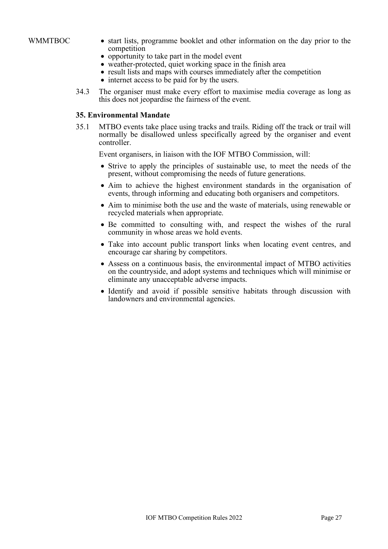- WMMTBOC start lists, programme booklet and other information on the day prior to the competition
	- opportunity to take part in the model event
	- weather-protected, quiet working space in the finish area
	- result lists and maps with courses immediately after the competition
	- internet access to be paid for by the users.
	- 34.3 The organiser must make every effort to maximise media coverage as long as this does not jeopardise the fairness of the event.

#### <span id="page-26-0"></span>**35. Environmental Mandate**

35.1 MTBO events take place using tracks and trails. Riding off the track or trail will normally be disallowed unless specifically agreed by the organiser and event controller.

Event organisers, in liaison with the IOF MTBO Commission, will:

- Strive to apply the principles of sustainable use, to meet the needs of the present, without compromising the needs of future generations.
- Aim to achieve the highest environment standards in the organisation of events, through informing and educating both organisers and competitors.
- Aim to minimise both the use and the waste of materials, using renewable or recycled materials when appropriate.
- Be committed to consulting with, and respect the wishes of the rural community in whose areas we hold events.
- Take into account public transport links when locating event centres, and encourage car sharing by competitors.
- Assess on a continuous basis, the environmental impact of MTBO activities on the countryside, and adopt systems and techniques which will minimise or eliminate any unacceptable adverse impacts.
- Identify and avoid if possible sensitive habitats through discussion with landowners and environmental agencies.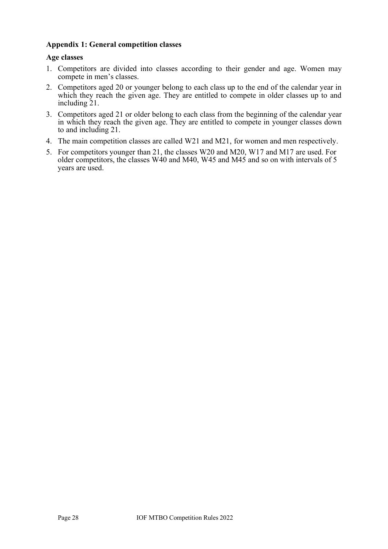#### <span id="page-27-0"></span>**Appendix 1: General competition classes**

#### **Age classes**

- 1. Competitors are divided into classes according to their gender and age. Women may compete in men's classes.
- 2. Competitors aged 20 or younger belong to each class up to the end of the calendar year in which they reach the given age. They are entitled to compete in older classes up to and including 21.
- 3. Competitors aged 21 or older belong to each class from the beginning of the calendar year in which they reach the given age. They are entitled to compete in younger classes down to and including 21.
- 4. The main competition classes are called W21 and M21, for women and men respectively.
- 5. For competitors younger than 21, the classes W20 and M20, W17 and M17 are used. For older competitors, the classes W40 and M40, W45 and M45 and so on with intervals of 5 years are used.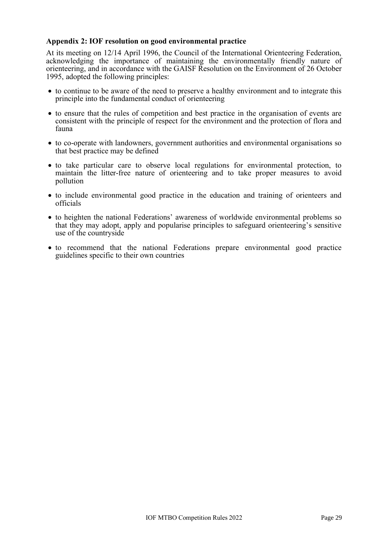#### <span id="page-28-0"></span>**Appendix 2: IOF resolution on good environmental practice**

At its meeting on 12/14 April 1996, the Council of the International Orienteering Federation, acknowledging the importance of maintaining the environmentally friendly nature of orienteering, and in accordance with the GAISF Resolution on the Environment of 26 October 1995, adopted the following principles:

- to continue to be aware of the need to preserve a healthy environment and to integrate this principle into the fundamental conduct of orienteering
- to ensure that the rules of competition and best practice in the organisation of events are consistent with the principle of respect for the environment and the protection of flora and fauna
- to co-operate with landowners, government authorities and environmental organisations so that best practice may be defined
- to take particular care to observe local regulations for environmental protection, to maintain the litter-free nature of orienteering and to take proper measures to avoid pollution
- to include environmental good practice in the education and training of orienteers and officials
- to heighten the national Federations' awareness of worldwide environmental problems so that they may adopt, apply and popularise principles to safeguard orienteering's sensitive use of the countryside
- to recommend that the national Federations prepare environmental good practice guidelines specific to their own countries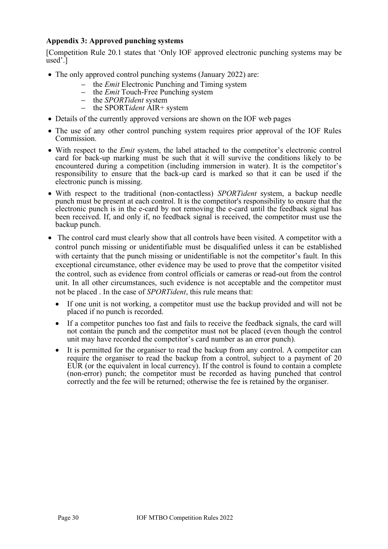## <span id="page-29-0"></span>**Appendix 3: Approved punching systems**

[Competition Rule 20.1 states that 'Only IOF approved electronic punching systems may be used'.]

- The only approved control punching systems (January 2022) are:
	- the *Emit* Electronic Punching and Timing system
	- the *Emit* Touch-Free Punching system
	- the *SPORTident* system
	- the SPORT*ident* AIR+ system
- Details of the currently approved versions are shown on the IOF web pages
- The use of any other control punching system requires prior approval of the IOF Rules Commission.
- With respect to the *Emit* system, the label attached to the competitor's electronic control card for back-up marking must be such that it will survive the conditions likely to be encountered during a competition (including immersion in water). It is the competitor's responsibility to ensure that the back-up card is marked so that it can be used if the electronic punch is missing.
- With respect to the traditional (non-contactless) *SPORTident* system, a backup needle punch must be present at each control. It is the competitor's responsibility to ensure that the electronic punch is in the e-card by not removing the e-card until the feedback signal has been received. If, and only if, no feedback signal is received, the competitor must use the backup punch.
- The control card must clearly show that all controls have been visited. A competitor with a control punch missing or unidentifiable must be disqualified unless it can be established with certainty that the punch missing or unidentifiable is not the competitor's fault. In this exceptional circumstance, other evidence may be used to prove that the competitor visited the control, such as evidence from control officials or cameras or read-out from the control unit. In all other circumstances, such evidence is not acceptable and the competitor must not be placed . In the case of *SPORTident*, this rule means that:
	- If one unit is not working, a competitor must use the backup provided and will not be placed if no punch is recorded.
	- If a competitor punches too fast and fails to receive the feedback signals, the card will not contain the punch and the competitor must not be placed (even though the control unit may have recorded the competitor's card number as an error punch).
	- It is permitted for the organiser to read the backup from any control. A competitor can require the organiser to read the backup from a control, subject to a payment of 20 EUR (or the equivalent in local currency). If the control is found to contain a complete (non-error) punch; the competitor must be recorded as having punched that control correctly and the fee will be returned; otherwise the fee is retained by the organiser.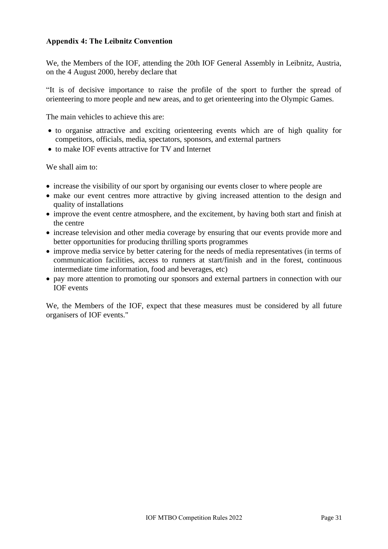#### <span id="page-30-0"></span>**Appendix 4: The Leibnitz Convention**

We, the Members of the IOF, attending the 20th IOF General Assembly in Leibnitz, Austria, on the 4 August 2000, hereby declare that

"It is of decisive importance to raise the profile of the sport to further the spread of orienteering to more people and new areas, and to get orienteering into the Olympic Games.

The main vehicles to achieve this are:

- to organise attractive and exciting orienteering events which are of high quality for competitors, officials, media, spectators, sponsors, and external partners
- to make IOF events attractive for TV and Internet

We shall aim to:

- increase the visibility of our sport by organising our events closer to where people are
- make our event centres more attractive by giving increased attention to the design and quality of installations
- improve the event centre atmosphere, and the excitement, by having both start and finish at the centre
- increase television and other media coverage by ensuring that our events provide more and better opportunities for producing thrilling sports programmes
- improve media service by better catering for the needs of media representatives (in terms of communication facilities, access to runners at start/finish and in the forest, continuous intermediate time information, food and beverages, etc)
- pay more attention to promoting our sponsors and external partners in connection with our IOF events

We, the Members of the IOF, expect that these measures must be considered by all future organisers of IOF events."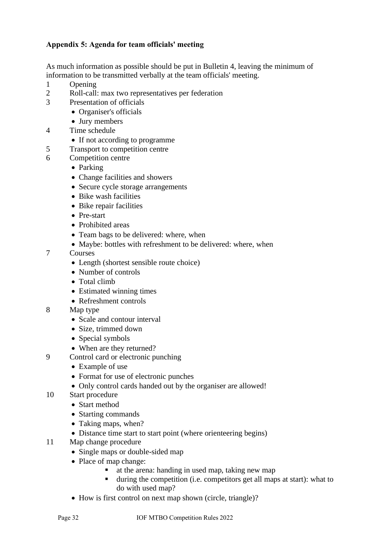# <span id="page-31-0"></span>**Appendix 5: Agenda for team officials' meeting**

As much information as possible should be put in Bulletin 4, leaving the minimum of information to be transmitted verbally at the team officials' meeting.

- 1 Opening
- 2 Roll-call: max two representatives per federation
- 3 Presentation of officials
	- Organiser's officials
		- Jury members
- 4 Time schedule
	- If not according to programme
- 5 Transport to competition centre
- 6 Competition centre
	- Parking
	- Change facilities and showers
	- Secure cycle storage arrangements
	- Bike wash facilities
	- Bike repair facilities
	- Pre-start
	- Prohibited areas
	- Team bags to be delivered: where, when
	- Maybe: bottles with refreshment to be delivered: where, when
- 7 Courses
	- Length (shortest sensible route choice)
	- Number of controls
	- Total climb
	- Estimated winning times
	- Refreshment controls
- 8 Map type
	- Scale and contour interval
	- Size, trimmed down
	- Special symbols
	- When are they returned?
- 9 Control card or electronic punching
	- Example of use
	- Format for use of electronic punches
	- Only control cards handed out by the organiser are allowed!
- 10 Start procedure
	- Start method
	- Starting commands
	- Taking maps, when?
	- Distance time start to start point (where orienteering begins)
- 11 Map change procedure
	- Single maps or double-sided map
	- Place of map change:
		- at the arena: handing in used map, taking new map
		- during the competition (i.e. competitors get all maps at start): what to do with used map?
	- How is first control on next map shown (circle, triangle)?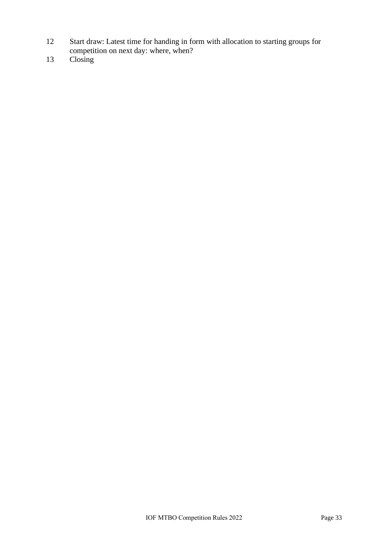- 12 Start draw: Latest time for handing in form with allocation to starting groups for competition on next day: where, when?
- 13 Closing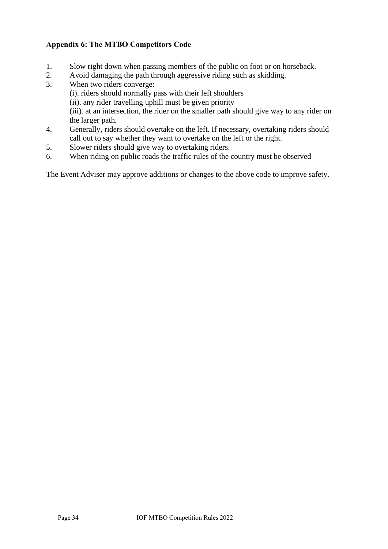# <span id="page-33-0"></span>**Appendix 6: The MTBO Competitors Code**

- 1. Slow right down when passing members of the public on foot or on horseback.
- 2. Avoid damaging the path through aggressive riding such as skidding.
- 3. When two riders converge: (i). riders should normally pass with their left shoulders (ii). any rider travelling uphill must be given priority (iii). at an intersection, the rider on the smaller path should give way to any rider on the larger path.
- 4. Generally, riders should overtake on the left. If necessary, overtaking riders should call out to say whether they want to overtake on the left or the right.
- 5. Slower riders should give way to overtaking riders.
- 6. When riding on public roads the traffic rules of the country must be observed

The Event Adviser may approve additions or changes to the above code to improve safety.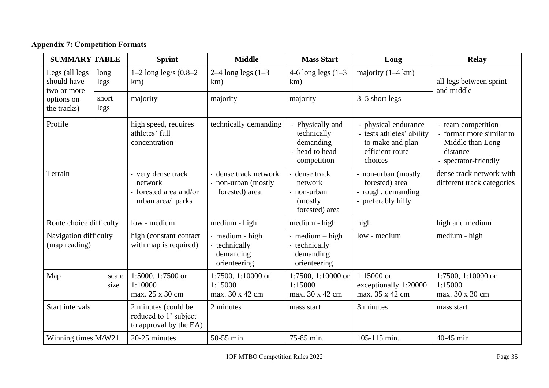# **Appendix 7: Competition Formats**

<span id="page-34-0"></span>

| <b>SUMMARY TABLE</b>                         |               | <b>Sprint</b>                                                                | <b>Middle</b>                                                  | <b>Mass Start</b>                                                             | Long                                                                                              | Relay                                                                                                  |
|----------------------------------------------|---------------|------------------------------------------------------------------------------|----------------------------------------------------------------|-------------------------------------------------------------------------------|---------------------------------------------------------------------------------------------------|--------------------------------------------------------------------------------------------------------|
| Legs (all legs<br>should have<br>two or more | long<br>legs  | 1–2 long leg/s $(0.8-2)$<br>km)                                              | $2-4$ long legs $(1-3)$<br>km)                                 | 4-6 long legs $(1-3)$<br>km)                                                  | majority $(1-4 \text{ km})$                                                                       | all legs between sprint<br>and middle                                                                  |
| options on<br>the tracks)                    | short<br>legs | majority                                                                     | majority                                                       | majority                                                                      | 3–5 short legs                                                                                    |                                                                                                        |
| Profile                                      |               | high speed, requires<br>athletes' full<br>concentration                      | technically demanding                                          | - Physically and<br>technically<br>demanding<br>- head to head<br>competition | physical endurance<br>- tests athletes' ability<br>to make and plan<br>efficient route<br>choices | - team competition<br>- format more similar to<br>Middle than Long<br>distance<br>- spectator-friendly |
| Terrain                                      |               | - very dense track<br>network<br>- forested area and/or<br>urban area/ parks | - dense track network<br>- non-urban (mostly<br>forested) area | dense track<br>network<br>- non-urban<br>(mostly)<br>forested) area           | - non-urban (mostly<br>forested) area<br>- rough, demanding<br>- preferably hilly                 | dense track network with<br>different track categories                                                 |
| Route choice difficulty                      |               | low - medium                                                                 | medium - high                                                  | medium - high                                                                 | high                                                                                              | high and medium                                                                                        |
| Navigation difficulty<br>(map reading)       |               | high (constant contact<br>with map is required)                              | - medium - high<br>- technically<br>demanding<br>orienteering  | - $medium - high$<br>technically<br>demanding<br>orienteering                 | low - medium                                                                                      | medium - high                                                                                          |
| Map<br>scale<br>size                         |               | 1:5000, 1:7500 or<br>1:10000<br>max. 25 x 30 cm                              | 1:7500, 1:10000 or<br>1:15000<br>max. 30 x 42 cm               | 1:7500, 1:10000 or<br>1:15000<br>max. 30 x 42 cm                              | $1:15000$ or<br>exceptionally 1:20000<br>max. 35 x 42 cm                                          | 1:7500, 1:10000 or<br>1:15000<br>max. 30 x 30 cm                                                       |
| Start intervals                              |               | 2 minutes (could be<br>reduced to 1' subject<br>to approval by the EA)       | 2 minutes                                                      | mass start                                                                    | 3 minutes                                                                                         | mass start                                                                                             |
| Winning times M/W21                          |               | 20-25 minutes                                                                | 50-55 min.                                                     | 75-85 min.                                                                    | 105-115 min.                                                                                      | 40-45 min.                                                                                             |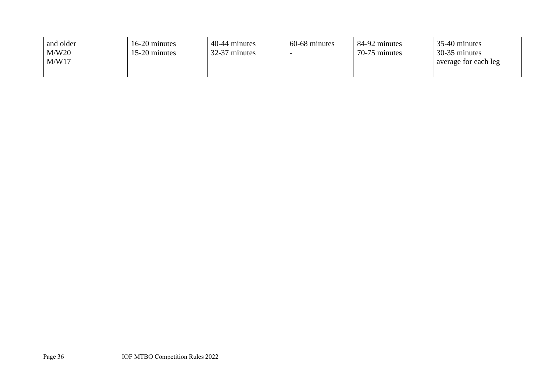| and older | 16-20 minutes | 40-44 minutes | 60-68 minutes | 84-92 minutes | 35-40 minutes        |
|-----------|---------------|---------------|---------------|---------------|----------------------|
| M/W20     | 15-20 minutes | 32-37 minutes |               | 70-75 minutes | 30-35 minutes        |
| M/W17     |               |               |               |               | average for each leg |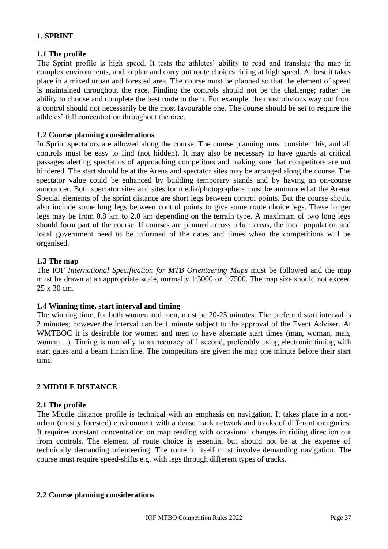## **1. SPRINT**

#### **1.1 The profile**

The Sprint profile is high speed. It tests the athletes' ability to read and translate the map in complex environments, and to plan and carry out route choices riding at high speed. At best it takes place in a mixed urban and forested area. The course must be planned so that the element of speed is maintained throughout the race. Finding the controls should not be the challenge; rather the ability to choose and complete the best route to them. For example, the most obvious way out from a control should not necessarily be the most favourable one. The course should be set to require the athletes' full concentration throughout the race.

#### **1.2 Course planning considerations**

In Sprint spectators are allowed along the course. The course planning must consider this, and all controls must be easy to find (not hidden). It may also be necessary to have guards at critical passages alerting spectators of approaching competitors and making sure that competitors are not hindered. The start should be at the Arena and spectator sites may be arranged along the course. The spectator value could be enhanced by building temporary stands and by having an on-course announcer. Both spectator sites and sites for media/photographers must be announced at the Arena. Special elements of the sprint distance are short legs between control points. But the course should also include some long legs between control points to give some route choice legs. These longer legs may be from 0.8 km to 2.0 km depending on the terrain type. A maximum of two long legs should form part of the course. If courses are planned across urban areas, the local population and local government need to be informed of the dates and times when the competitions will be organised.

#### **1.3 The map**

The IOF *International Specification for MTB Orienteering Maps* must be followed and the map must be drawn at an appropriate scale, normally 1:5000 or 1:7500. The map size should not exceed 25 x 30 cm.

## **1.4 Winning time, start interval and timing**

The winning time, for both women and men, must be 20-25 minutes. The preferred start interval is 2 minutes; however the interval can be 1 minute subject to the approval of the Event Adviser. At WMTBOC it is desirable for women and men to have alternate start times (man, woman, man, woman…). Timing is normally to an accuracy of 1 second, preferably using electronic timing with start gates and a beam finish line. The competitors are given the map one minute before their start time.

#### **2 MIDDLE DISTANCE**

#### **2.1 The profile**

The Middle distance profile is technical with an emphasis on navigation. It takes place in a nonurban (mostly forested) environment with a dense track network and tracks of different categories. It requires constant concentration on map reading with occasional changes in riding direction out from controls. The element of route choice is essential but should not be at the expense of technically demanding orienteering. The route in itself must involve demanding navigation. The course must require speed-shifts e.g. with legs through different types of tracks.

#### **2.2 Course planning considerations**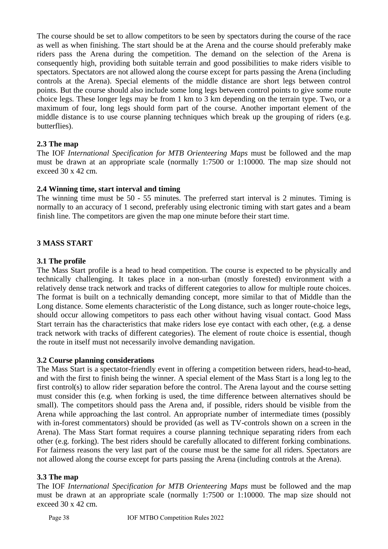The course should be set to allow competitors to be seen by spectators during the course of the race as well as when finishing. The start should be at the Arena and the course should preferably make riders pass the Arena during the competition. The demand on the selection of the Arena is consequently high, providing both suitable terrain and good possibilities to make riders visible to spectators. Spectators are not allowed along the course except for parts passing the Arena (including controls at the Arena). Special elements of the middle distance are short legs between control points. But the course should also include some long legs between control points to give some route choice legs. These longer legs may be from 1 km to 3 km depending on the terrain type. Two, or a maximum of four, long legs should form part of the course. Another important element of the middle distance is to use course planning techniques which break up the grouping of riders (e.g. butterflies).

## **2.3 The map**

The IOF *International Specification for MTB Orienteering Maps* must be followed and the map must be drawn at an appropriate scale (normally 1:7500 or 1:10000. The map size should not exceed 30 x 42 cm.

#### **2.4 Winning time, start interval and timing**

The winning time must be 50 - 55 minutes. The preferred start interval is 2 minutes. Timing is normally to an accuracy of 1 second, preferably using electronic timing with start gates and a beam finish line. The competitors are given the map one minute before their start time.

#### **3 MASS START**

#### **3.1 The profile**

The Mass Start profile is a head to head competition. The course is expected to be physically and technically challenging. It takes place in a non-urban (mostly forested) environment with a relatively dense track network and tracks of different categories to allow for multiple route choices. The format is built on a technically demanding concept, more similar to that of Middle than the Long distance. Some elements characteristic of the Long distance, such as longer route-choice legs, should occur allowing competitors to pass each other without having visual contact. Good Mass Start terrain has the characteristics that make riders lose eye contact with each other, (e.g. a dense track network with tracks of different categories). The element of route choice is essential, though the route in itself must not necessarily involve demanding navigation.

#### **3.2 Course planning considerations**

The Mass Start is a spectator-friendly event in offering a competition between riders, head-to-head, and with the first to finish being the winner. A special element of the Mass Start is a long leg to the first control(s) to allow rider separation before the control. The Arena layout and the course setting must consider this (e.g. when forking is used, the time difference between alternatives should be small). The competitors should pass the Arena and, if possible, riders should be visible from the Arena while approaching the last control. An appropriate number of intermediate times (possibly with in-forest commentators) should be provided (as well as TV-controls shown on a screen in the Arena). The Mass Start format requires a course planning technique separating riders from each other (e.g. forking). The best riders should be carefully allocated to different forking combinations. For fairness reasons the very last part of the course must be the same for all riders. Spectators are not allowed along the course except for parts passing the Arena (including controls at the Arena).

## **3.3 The map**

The IOF *International Specification for MTB Orienteering Maps* must be followed and the map must be drawn at an appropriate scale (normally 1:7500 or 1:10000. The map size should not exceed 30 x 42 cm.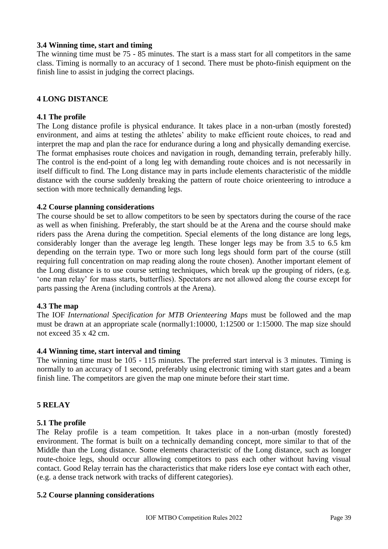#### **3.4 Winning time, start and timing**

The winning time must be 75 - 85 minutes. The start is a mass start for all competitors in the same class. Timing is normally to an accuracy of 1 second. There must be photo-finish equipment on the finish line to assist in judging the correct placings.

## **4 LONG DISTANCE**

#### **4.1 The profile**

The Long distance profile is physical endurance. It takes place in a non-urban (mostly forested) environment, and aims at testing the athletes' ability to make efficient route choices, to read and interpret the map and plan the race for endurance during a long and physically demanding exercise. The format emphasises route choices and navigation in rough, demanding terrain, preferably hilly. The control is the end-point of a long leg with demanding route choices and is not necessarily in itself difficult to find. The Long distance may in parts include elements characteristic of the middle distance with the course suddenly breaking the pattern of route choice orienteering to introduce a section with more technically demanding legs.

#### **4.2 Course planning considerations**

The course should be set to allow competitors to be seen by spectators during the course of the race as well as when finishing. Preferably, the start should be at the Arena and the course should make riders pass the Arena during the competition. Special elements of the long distance are long legs, considerably longer than the average leg length. These longer legs may be from 3.5 to 6.5 km depending on the terrain type. Two or more such long legs should form part of the course (still requiring full concentration on map reading along the route chosen). Another important element of the Long distance is to use course setting techniques, which break up the grouping of riders, (e.g. 'one man relay' for mass starts, butterflies). Spectators are not allowed along the course except for parts passing the Arena (including controls at the Arena).

#### **4.3 The map**

The IOF *International Specification for MTB Orienteering Maps* must be followed and the map must be drawn at an appropriate scale (normally1:10000, 1:12500 or 1:15000. The map size should not exceed 35 x 42 cm.

#### **4.4 Winning time, start interval and timing**

The winning time must be 105 - 115 minutes. The preferred start interval is 3 minutes. Timing is normally to an accuracy of 1 second, preferably using electronic timing with start gates and a beam finish line. The competitors are given the map one minute before their start time.

#### **5 RELAY**

#### **5.1 The profile**

The Relay profile is a team competition. It takes place in a non-urban (mostly forested) environment. The format is built on a technically demanding concept, more similar to that of the Middle than the Long distance. Some elements characteristic of the Long distance, such as longer route-choice legs, should occur allowing competitors to pass each other without having visual contact. Good Relay terrain has the characteristics that make riders lose eye contact with each other, (e.g. a dense track network with tracks of different categories).

#### **5.2 Course planning considerations**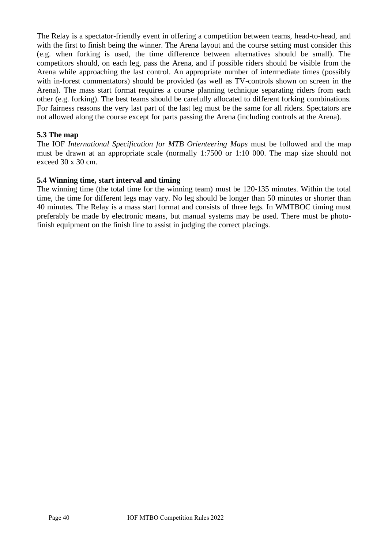The Relay is a spectator-friendly event in offering a competition between teams, head-to-head, and with the first to finish being the winner. The Arena layout and the course setting must consider this (e.g. when forking is used, the time difference between alternatives should be small). The competitors should, on each leg, pass the Arena, and if possible riders should be visible from the Arena while approaching the last control. An appropriate number of intermediate times (possibly with in-forest commentators) should be provided (as well as TV-controls shown on screen in the Arena). The mass start format requires a course planning technique separating riders from each other (e.g. forking). The best teams should be carefully allocated to different forking combinations. For fairness reasons the very last part of the last leg must be the same for all riders. Spectators are not allowed along the course except for parts passing the Arena (including controls at the Arena).

# **5.3 The map**

The IOF *International Specification for MTB Orienteering Maps* must be followed and the map must be drawn at an appropriate scale (normally 1:7500 or 1:10 000. The map size should not exceed 30 x 30 cm.

## **5.4 Winning time, start interval and timing**

The winning time (the total time for the winning team) must be 120-135 minutes. Within the total time, the time for different legs may vary. No leg should be longer than 50 minutes or shorter than 40 minutes. The Relay is a mass start format and consists of three legs. In WMTBOC timing must preferably be made by electronic means, but manual systems may be used. There must be photofinish equipment on the finish line to assist in judging the correct placings.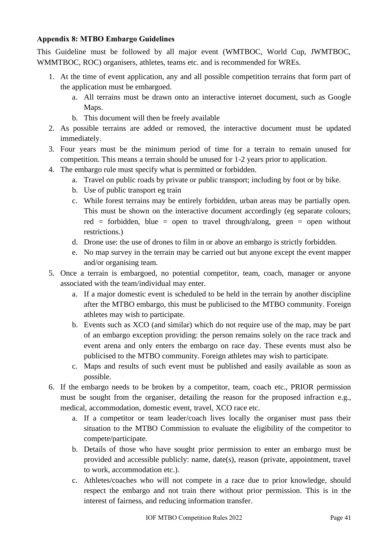## <span id="page-40-0"></span>**Appendix 8: MTBO Embargo Guidelines**

This Guideline must be followed by all major event (WMTBOC, World Cup, JWMTBOC, WMMTBOC, ROC) organisers, athletes, teams etc. and is recommended for WREs.

- 1. At the time of event application, any and all possible competition terrains that form part of the application must be embargoed.
	- a. All terrains must be drawn onto an interactive internet document, such as Google Maps.
	- b. This document will then be freely available
- 2. As possible terrains are added or removed, the interactive document must be updated immediately.
- 3. Four years must be the minimum period of time for a terrain to remain unused for competition. This means a terrain should be unused for 1-2 years prior to application.
- 4. The embargo rule must specify what is permitted or forbidden.
	- a. Travel on public roads by private or public transport; including by foot or by bike.
	- b. Use of public transport eg train
	- c. While forest terrains may be entirely forbidden, urban areas may be partially open. This must be shown on the interactive document accordingly (eg separate colours; red = forbidden, blue = open to travel through/along, green = open without restrictions.)
	- d. Drone use: the use of drones to film in or above an embargo is strictly forbidden.
	- e. No map survey in the terrain may be carried out but anyone except the event mapper and/or organising team.
- 5. Once a terrain is embargoed, no potential competitor, team, coach, manager or anyone associated with the team/individual may enter.
	- a. If a major domestic event is scheduled to be held in the terrain by another discipline after the MTBO embargo, this must be publicised to the MTBO community. Foreign athletes may wish to participate.
	- b. Events such as XCO (and similar) which do not require use of the map, may be part of an embargo exception providing: the person remains solely on the race track and event arena and only enters the embargo on race day. These events must also be publicised to the MTBO community. Foreign athletes may wish to participate.
	- c. Maps and results of such event must be published and easily available as soon as possible.
- 6. If the embargo needs to be broken by a competitor, team, coach etc., PRIOR permission must be sought from the organiser, detailing the reason for the proposed infraction e.g., medical, accommodation, domestic event, travel, XCO race etc.
	- a. If a competitor or team leader/coach lives locally the organiser must pass their situation to the MTBO Commission to evaluate the eligibility of the competitor to compete/participate.
	- b. Details of those who have sought prior permission to enter an embargo must be provided and accessible publicly: name, date(s), reason (private, appointment, travel to work, accommodation etc.).
	- c. Athletes/coaches who will not compete in a race due to prior knowledge, should respect the embargo and not train there without prior permission. This is in the interest of fairness, and reducing information transfer.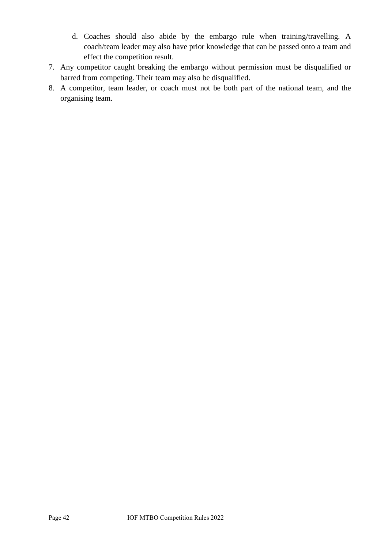- d. Coaches should also abide by the embargo rule when training/travelling. A coach/team leader may also have prior knowledge that can be passed onto a team and effect the competition result.
- 7. Any competitor caught breaking the embargo without permission must be disqualified or barred from competing. Their team may also be disqualified.
- 8. A competitor, team leader, or coach must not be both part of the national team, and the organising team.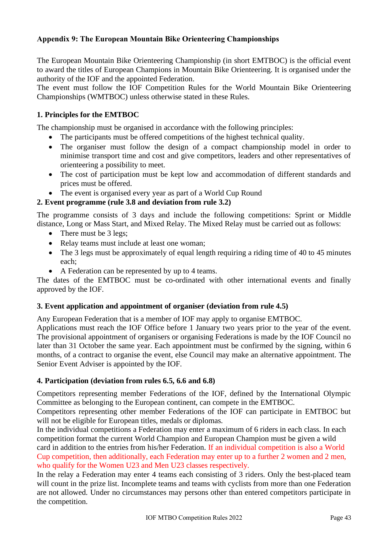# <span id="page-42-0"></span>**Appendix 9: The European Mountain Bike Orienteering Championships**

The European Mountain Bike Orienteering Championship (in short EMTBOC) is the official event to award the titles of European Champions in Mountain Bike Orienteering. It is organised under the authority of the IOF and the appointed Federation.

The event must follow the IOF Competition Rules for the World Mountain Bike Orienteering Championships (WMTBOC) unless otherwise stated in these Rules.

# **1. Principles for the EMTBOC**

The championship must be organised in accordance with the following principles:

- The participants must be offered competitions of the highest technical quality.
- The organiser must follow the design of a compact championship model in order to minimise transport time and cost and give competitors, leaders and other representatives of orienteering a possibility to meet.
- The cost of participation must be kept low and accommodation of different standards and prices must be offered.
- The event is organised every year as part of a World Cup Round

## **2. Event programme (rule 3.8 and deviation from rule 3.2)**

The programme consists of 3 days and include the following competitions: Sprint or Middle distance, Long or Mass Start, and Mixed Relay. The Mixed Relay must be carried out as follows:

- There must be 3 legs;
- Relay teams must include at least one woman:
- The 3 legs must be approximately of equal length requiring a riding time of 40 to 45 minutes each;
- A Federation can be represented by up to 4 teams.

The dates of the EMTBOC must be co-ordinated with other international events and finally approved by the IOF.

## **3. Event application and appointment of organiser (deviation from rule 4.5)**

Any European Federation that is a member of IOF may apply to organise EMTBOC.

Applications must reach the IOF Office before 1 January two years prior to the year of the event. The provisional appointment of organisers or organising Federations is made by the IOF Council no later than 31 October the same year. Each appointment must be confirmed by the signing, within 6 months, of a contract to organise the event, else Council may make an alternative appointment. The Senior Event Adviser is appointed by the IOF.

## **4. Participation (deviation from rules 6.5, 6.6 and 6.8)**

Competitors representing member Federations of the IOF, defined by the International Olympic Committee as belonging to the European continent, can compete in the EMTBOC.

Competitors representing other member Federations of the IOF can participate in EMTBOC but will not be eligible for European titles, medals or diplomas.

In the individual competitions a Federation may enter a maximum of 6 riders in each class. In each competition format the current World Champion and European Champion must be given a wild card in addition to the entries from his/her Federation. If an individual competition is also a World Cup competition, then additionally, each Federation may enter up to a further 2 women and 2 men, who qualify for the Women U23 and Men U23 classes respectively*.*

In the relay a Federation may enter 4 teams each consisting of 3 riders. Only the best-placed team will count in the prize list. Incomplete teams and teams with cyclists from more than one Federation are not allowed. Under no circumstances may persons other than entered competitors participate in the competition.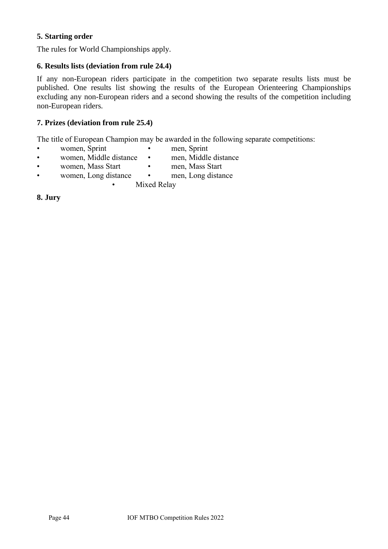# **5. Starting order**

The rules for World Championships apply.

# **6. Results lists (deviation from rule 24.4)**

If any non-European riders participate in the competition two separate results lists must be published. One results list showing the results of the European Orienteering Championships excluding any non-European riders and a second showing the results of the competition including non-European riders.

## **7. Prizes (deviation from rule 25.4)**

The title of European Champion may be awarded in the following separate competitions:

- women, Sprint men, Sprint
	-
- women, Middle distance men, Middle distance
- women, Mass Start men, Mass Start
	-
- women, Long distance men, Long distance
	- Mixed Relay

**8. Jury**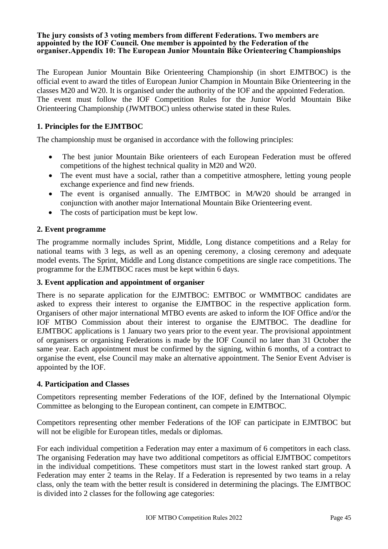#### <span id="page-44-0"></span>**The jury consists of 3 voting members from different Federations. Two members are appointed by the IOF Council. One member is appointed by the Federation of the organiser.Appendix 10: The European Junior Mountain Bike Orienteering Championships**

The European Junior Mountain Bike Orienteering Championship (in short EJMTBOC) is the official event to award the titles of European Junior Champion in Mountain Bike Orienteering in the classes M20 and W20. It is organised under the authority of the IOF and the appointed Federation. The event must follow the IOF Competition Rules for the Junior World Mountain Bike Orienteering Championship (JWMTBOC) unless otherwise stated in these Rules.

# **1. Principles for the EJMTBOC**

The championship must be organised in accordance with the following principles:

- The best junior Mountain Bike orienteers of each European Federation must be offered competitions of the highest technical quality in M20 and W20.
- The event must have a social, rather than a competitive atmosphere, letting young people exchange experience and find new friends.
- The event is organised annually. The EJMTBOC in M/W20 should be arranged in conjunction with another major International Mountain Bike Orienteering event.
- The costs of participation must be kept low.

## **2. Event programme**

The programme normally includes Sprint, Middle, Long distance competitions and a Relay for national teams with 3 legs, as well as an opening ceremony, a closing ceremony and adequate model events. The Sprint, Middle and Long distance competitions are single race competitions. The programme for the EJMTBOC races must be kept within 6 days.

## **3. Event application and appointment of organiser**

There is no separate application for the EJMTBOC: EMTBOC or WMMTBOC candidates are asked to express their interest to organise the EJMTBOC in the respective application form. Organisers of other major international MTBO events are asked to inform the IOF Office and/or the IOF MTBO Commission about their interest to organise the EJMTBOC. The deadline for EJMTBOC applications is 1 January two years prior to the event year. The provisional appointment of organisers or organising Federations is made by the IOF Council no later than 31 October the same year. Each appointment must be confirmed by the signing, within 6 months, of a contract to organise the event, else Council may make an alternative appointment. The Senior Event Adviser is appointed by the IOF.

## **4. Participation and Classes**

Competitors representing member Federations of the IOF, defined by the International Olympic Committee as belonging to the European continent, can compete in EJMTBOC.

Competitors representing other member Federations of the IOF can participate in EJMTBOC but will not be eligible for European titles, medals or diplomas.

For each individual competition a Federation may enter a maximum of 6 competitors in each class. The organising Federation may have two additional competitors as official EJMTBOC competitors in the individual competitions. These competitors must start in the lowest ranked start group. A Federation may enter 2 teams in the Relay. If a Federation is represented by two teams in a relay class, only the team with the better result is considered in determining the placings. The EJMTBOC is divided into 2 classes for the following age categories: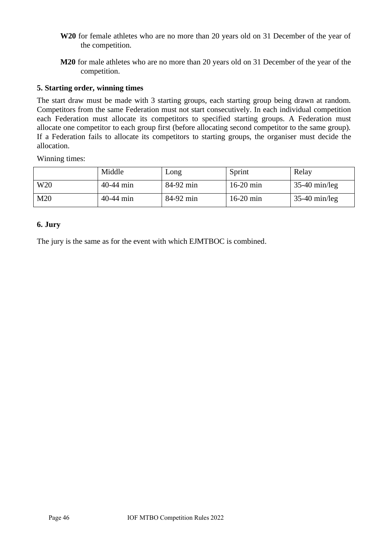- **W20** for female athletes who are no more than 20 years old on 31 December of the year of the competition.
- **M20** for male athletes who are no more than 20 years old on 31 December of the year of the competition.

#### **5. Starting order, winning times**

The start draw must be made with 3 starting groups, each starting group being drawn at random. Competitors from the same Federation must not start consecutively. In each individual competition each Federation must allocate its competitors to specified starting groups. A Federation must allocate one competitor to each group first (before allocating second competitor to the same group). If a Federation fails to allocate its competitors to starting groups, the organiser must decide the allocation.

Winning times:

|                 | Middle      | Long      | Sprint      | Relay           |
|-----------------|-------------|-----------|-------------|-----------------|
| W <sub>20</sub> | $40-44$ min | 84-92 min | $16-20$ min | $35-40$ min/leg |
| M20             | $40-44$ min | 84-92 min | $16-20$ min | $35-40$ min/leg |

#### **6. Jury**

The jury is the same as for the event with which EJMTBOC is combined.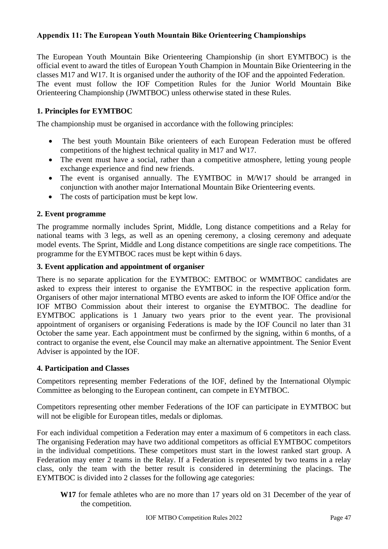# <span id="page-46-0"></span>**Appendix 11: The European Youth Mountain Bike Orienteering Championships**

The European Youth Mountain Bike Orienteering Championship (in short EYMTBOC) is the official event to award the titles of European Youth Champion in Mountain Bike Orienteering in the classes M17 and W17. It is organised under the authority of the IOF and the appointed Federation. The event must follow the IOF Competition Rules for the Junior World Mountain Bike Orienteering Championship (JWMTBOC) unless otherwise stated in these Rules.

# **1. Principles for EYMTBOC**

The championship must be organised in accordance with the following principles:

- The best youth Mountain Bike orienteers of each European Federation must be offered competitions of the highest technical quality in M17 and W17.
- The event must have a social, rather than a competitive atmosphere, letting young people exchange experience and find new friends.
- The event is organised annually. The EYMTBOC in M/W17 should be arranged in conjunction with another major International Mountain Bike Orienteering events.
- The costs of participation must be kept low.

#### **2. Event programme**

The programme normally includes Sprint, Middle, Long distance competitions and a Relay for national teams with 3 legs, as well as an opening ceremony, a closing ceremony and adequate model events. The Sprint, Middle and Long distance competitions are single race competitions. The programme for the EYMTBOC races must be kept within 6 days.

#### **3. Event application and appointment of organiser**

There is no separate application for the EYMTBOC: EMTBOC or WMMTBOC candidates are asked to express their interest to organise the EYMTBOC in the respective application form. Organisers of other major international MTBO events are asked to inform the IOF Office and/or the IOF MTBO Commission about their interest to organise the EYMTBOC. The deadline for EYMTBOC applications is 1 January two years prior to the event year. The provisional appointment of organisers or organising Federations is made by the IOF Council no later than 31 October the same year. Each appointment must be confirmed by the signing, within 6 months, of a contract to organise the event, else Council may make an alternative appointment. The Senior Event Adviser is appointed by the IOF.

#### **4. Participation and Classes**

Competitors representing member Federations of the IOF, defined by the International Olympic Committee as belonging to the European continent, can compete in EYMTBOC.

Competitors representing other member Federations of the IOF can participate in EYMTBOC but will not be eligible for European titles, medals or diplomas.

For each individual competition a Federation may enter a maximum of 6 competitors in each class. The organising Federation may have two additional competitors as official EYMTBOC competitors in the individual competitions. These competitors must start in the lowest ranked start group. A Federation may enter 2 teams in the Relay. If a Federation is represented by two teams in a relay class, only the team with the better result is considered in determining the placings. The EYMTBOC is divided into 2 classes for the following age categories:

**W17** for female athletes who are no more than 17 years old on 31 December of the year of the competition.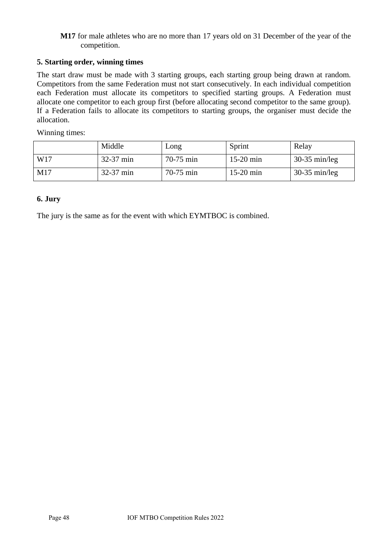#### **M17** for male athletes who are no more than 17 years old on 31 December of the year of the competition.

# **5. Starting order, winning times**

The start draw must be made with 3 starting groups, each starting group being drawn at random. Competitors from the same Federation must not start consecutively. In each individual competition each Federation must allocate its competitors to specified starting groups. A Federation must allocate one competitor to each group first (before allocating second competitor to the same group). If a Federation fails to allocate its competitors to starting groups, the organiser must decide the allocation.

Winning times:

|     | Middle      | Long        | Sprint      | Relay           |
|-----|-------------|-------------|-------------|-----------------|
| W17 | $32-37$ min | $70-75$ min | $15-20$ min | $30-35$ min/leg |
| M17 | $32-37$ min | $70-75$ min | $15-20$ min | $30-35$ min/leg |

## **6. Jury**

The jury is the same as for the event with which EYMTBOC is combined.